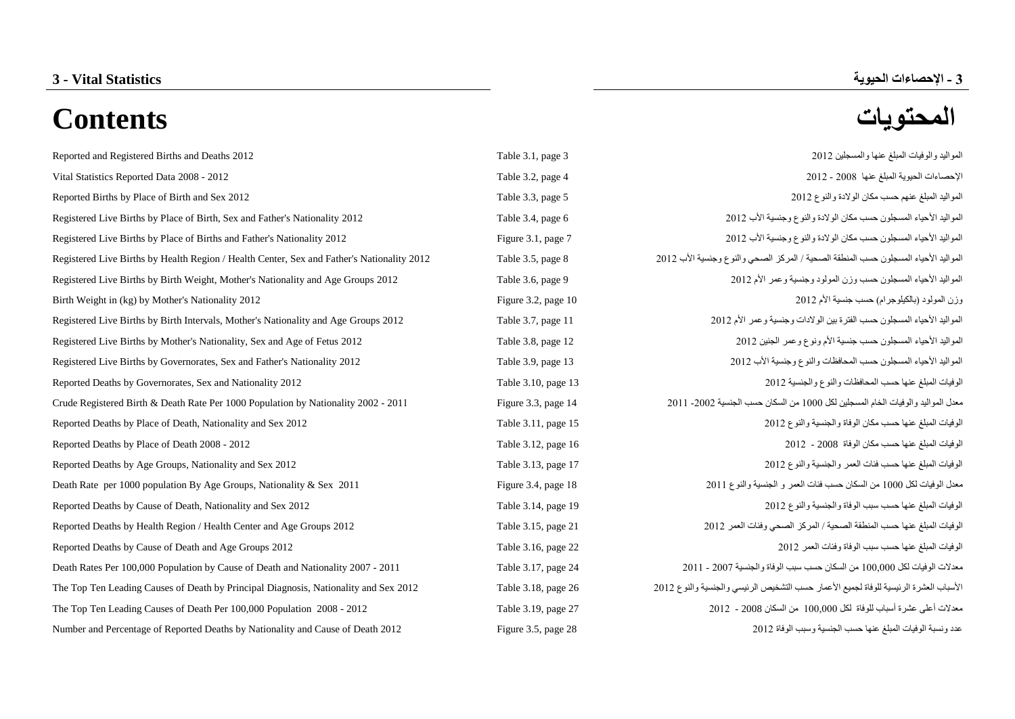# **3 - اإلحصاءات الحيوية Statistics Vital - 3**

# **المحتويات Contents**

[Reported and Registered Births and Deaths 2012](#page-2-0) Table 3.1, page 3.1, page 3.1, page 3 2102 and 3.1, page 3.1, page 3.1, page 3.1, page 3.1, page 3.1, page 3.1, page 3.1, page 3.1, page 3.1, page 3.1, page 3.1, page 3.1, pag [Vital Statistics Reported Data 2008](#page-3-0) - 2012 **Table 3.2, page 4 2102 3.2, page 4 2102 - 2110**  $\sigma$ [Reported Births by Place of Birth and Sex 2012](#page-4-0) Table 3.3, page 5 2102 and 3.3, page 5 2102 and 3.3, page 5 210 [Registered Live Births by Place of Birth, Sex and Father's Nationality 2012](#page-5-0) Table 3.4, page 6 2102 Table 3.4, page 6 2102 Table 3.4, page 6 2102 Table 3.4, page 6 2102 Table 3.4, page 6 2102 Table 3.4, page 6.4, page 7.4, [Registered Live Births by Place of Births and Father's Nationality 2012](#page-6-0) Figure 3.1, page 7 2102 The 7 2102 Interval of Pierre 3.1, page 7 2102 Interval of Pierre 3.1, page 7 2102 Interval of Pierre 3.1, page 7.1, page 7.1, Registered Live Births by Health Region / Health Center, Sex and Father's Nationality 2012 Table 3.5, page 8 210 [Registered Live Births by Birth Weight, Mother's Nationality and Age Groups 2012](#page-8-0) Table 3.6, page 9 2102 Table 3.6, page 9 2102 Table 3.6, page 9 2102 Table 3.6, page 9 2102 Interval and Age Groups 2012 Table 3.6, page 9.6, [Birth Weight in \(kg\) by Mother's Nationality 2012](#page-9-0) **Figure 3.2, page 10 2102 in** Figure 3.2, page 10 210 [Registered Live Births by Birth Intervals, Mother's Nationality and Age](#page-10-0) Groups 2012 Table 3.7, page 11 2102 11 [Registered Live Births by Mother's Nationality, Sex and Age of Fetus 2012](#page-11-0) Table 3.8, page 12 2102 11 [Registered Live Births by Governorates, Sex and Father's Nationality 2012](#page-12-0) Table 3.9, page 13 2102 Table 3.9, page 13 2102 11 Reported Deaths by Governorates, Sex and Nationality 2012 Table 3.10, page 13 2102 energy 13 210 [Crude Registered Birth & Death Rate Per 1000 Population](#page-13-0) by Nationality 2002 - 2011 Figure 3.3, page 14 2100 -211 Reported Deaths by Place [of Death, Nationality and Sex 2012](#page-14-0) Table 3.11, page 15 211, page 15 2102 and  $\Gamma$ [Reported Deaths by Place](#page-15-0) of Death 2008 - 2012 <sup>Tab</sup> [Reported Deaths by Age Groups, Nationality and Sex 2012](#page-16-0) Table 3.13, page 17 2102 energy energy and the 3.13, page 17 2102 energy energy and the 3.13, page 17 2102 and the 3.13, page 17 210 energy energy energy energy energ Death Rate per 1000 population By Age Groups, Nationality & Sex 2011 Figure 2011 [Reported Deaths by Cause of Death, Nationality and Sex 2012](#page-18-0) Table 3.14, page 19 2102 and  $\frac{1}{2}$ [Reported Deaths by Health Region / Health Center and Age Groups 2012](#page-20-0) Table 3.15, page 3.15, page 3.15, page 3.15, page 3.15, page 3.15, page 3.15, page 3.15, page 3.15, page 3.15, page 3.15, page 3.15, page 3.15, page 3.15 [Reported Deaths by Cause of Death and Age Groups 2012](#page-21-0) Table 3.16, page 22 2110 Table 3.16, page 22 2102 Table 3.16, page 22 2102 Table 3.16, page 22 2102 Table 3.16, page 22 2102 Table 3.16, page 22 212 [Death Rates Per 100,000 Population by Cause of Death](#page-23-0) and Nationality 2007 - 2011 Table 3.17, page 24 211 [The Top Ten Leading Causes of Death by Principal Diagnosis, Nationality and Sex 2012](#page-25-0) Table 3.18, page 26 2102 [The Top Ten Leading Causes of Death Per 100,000 Population 2008 -](#page-26-0) 2012 - 2011 [Number and Percentage of Reported Deaths by Nationality](#page-27-0) and Cause of Death 2012 Figure 3.5, page 28 2102 الوفاة وسبب الجنسية حسب عنها المبلغ الوفيات ونسبة عدد

| ble 3.1, page 3        | المواليد والوفيات المبلغ عنها والمسجلين 2012                                          |
|------------------------|---------------------------------------------------------------------------------------|
| ble 3.2, page 4        | الإحصاءات الحيوية المبلغ عنها 2008 - 2012                                             |
| ble 3.3, page 5        | المواليد المبلغ عنهم حسب مكان الولادة والنوع 2012                                     |
| ble 3.4, page 6        | المواليد الأحياء المسجلون حسب مكان الولادة والنوع وجنسية الأب 2012                    |
| gure $3.1$ , page $7$  | المواليد الأحياء المسجلون حسب مكان الولادة والنوع وجنسية الأب 2012                    |
| ble 3.5, page 8        | المواليد الأحياء المسجلون حسب المنطقة الصحية / المركز الصحى والنوع وجنسية الأب 2012   |
| ble 3.6, page 9        | المواليد الأحياء المسجلون حسب وزن المولود وجنسية وعمر الأم 2012                       |
| gure $3.2$ , page $10$ | وزن المولود (بالكيلوجرام) حسب جنسية الأم 2012                                         |
| ble 3.7, page 11       | المواليد الأحياء المسجلون حسب الفترة بين الولادات وجنسية وعمر الأم 2012               |
| ble 3.8, page 12       | المواليد الأحياء المسجلون حسب جنسية الأم ونوع وعمر الجنين 2012                        |
| ble 3.9, page 13       | المواليد الأحياء المسجلون حسب المحافظات والنوع وجنسية الأب 2012                       |
| ble 3.10, page 13      | الوفيات المبلغ عنها حسب المحافظات والنوع والجنسية 2012                                |
| gure 3.3, page 14      | معدل المواليد والوفيات الخام المسجلين لكل 1000 من السكان حسب الجنسية 2002- 2011       |
| ble 3.11, page 15      | الوفيات المبلغ عنها حسب مكان الوفاة والجنسية والنوع 2012                              |
| ble 3.12, page 16      | الوفيات المبلغ عنها حسب مكان الوفاة 2008 - 2012                                       |
| ble 3.13, page 17      | الوفيات المبلغ عنها حسب فئات العمر والجنسية والنوع 2012                               |
| gure 3.4, page 18      | معدل الوفيات لكل 1000 من السكان حسب فئات العمر و الجنسية والنوع 2011                  |
| ble 3.14, page 19      | الوفيات المبلغ عنها حسب سبب الوفاة والجنسية والنوع 2012                               |
| ble 3.15, page 21      | الوفيات المبلغ عنها حسب المنطقة الصحية / المركز الصحي وفئات العمر 2012                |
| ble 3.16, page 22      | الوفيات المبلغ عنها حسب سبب الوفاة وفئات العمر 2012                                   |
| ble 3.17, page 24      | معدلات الوفيات لكل 100,000 من السكان حسب سبب الوفاة والجنسية 2007 - 2011              |
| ble 3.18, page 26      | الأسباب العشرة الرئيسية للوفاة لجميع الأعمار حسب التشخيص الرئيسي والجنسية والنوع 2012 |
| ble 3.19, page 27      | معدلات أعلى عشرة أسباب للوفاة لكل 100,000 من السكان 2008 - 2012                       |
|                        | $0.010 \text{ m}$ is the state of the state $\sim 0.1$                                |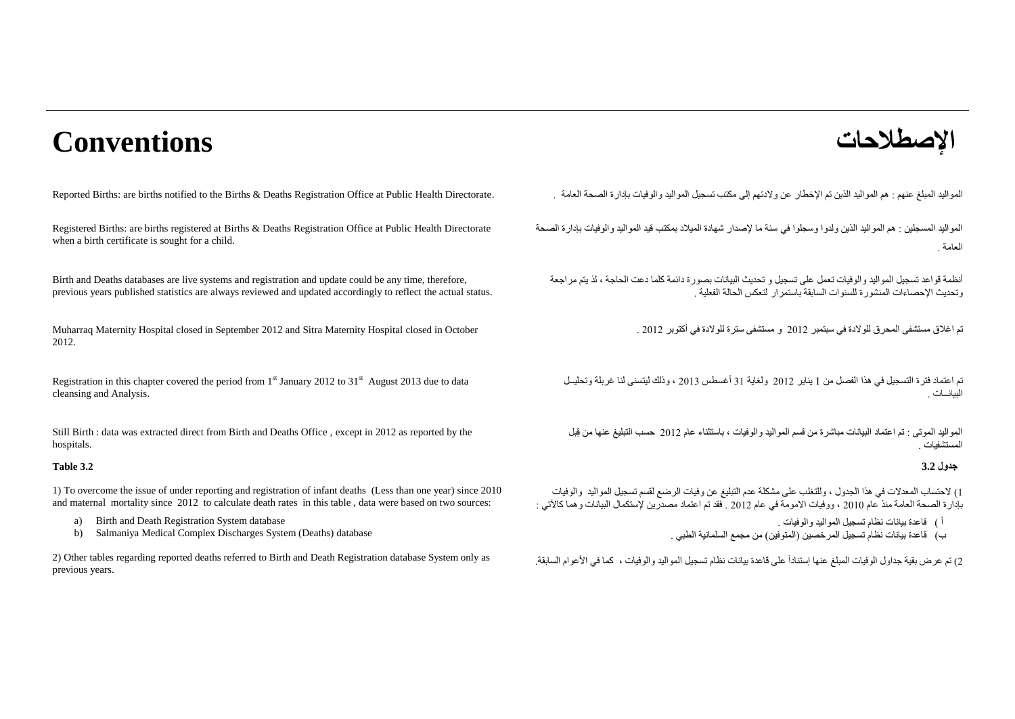# **اإلصطالحات Conventions**

Registered Births: are births registered at Births & Deaths Registration Office at Public Health Directorate when a birth certificate is sought for a child.

Birth and Deaths databases are live systems and registration and update could be any time, therefore, previous years published statistics are always reviewed and updated accordingly to reflect the actual status.

Muharraq Maternity Hospital closed in September 2012 and Sitra Maternity Hospital closed in October 2012.

Registration in this chapter covered the period from  $1<sup>st</sup>$  January 2012 to 31 $<sup>st</sup>$  August 2013 due to data</sup> cleansing and Analysis.

Still Birth : data was extracted direct from Birth and Deaths Office , except in 2012 as reported by the hospitals.

#### **Table 3.2**

1) To overcome the issue of under reporting and registration of infant deaths (Less than one year) since 2010 and maternal mortality since 2012 to calculate death rates in this table , data were based on two sources:

- a) Birth and Death Registration System database
- b) Salmaniya Medical Complex Discharges System (Deaths) database

2) Other tables regarding reported deaths referred to Birth and Death Registration database System only as previous years.

المواليد المبلغ عنهم : هم المواليد الذين تم اإلخطار عن والدتهم إلى مكتب تسجيل المواليد والوفيات بإدارة الصحة العامة . .Directorate Health Public at Office Registration Deaths & Births the to notified births are :Births Reported

المواليد المسجلين : هم المواليد الذين ولدوا وسجلوا في سنة ما إلصدار شهادة الميالد بمكتب قيد المواليد والوفيات بإدارة الصحة العامة .

أنظمة قواعد تسجيل المواليد والوفيات تعمل على تسجيل و تحديث البيانات بصورة دائمة كلما دعت الحاجة ، لذ يتم مراجعة وتحديث اإلحصاءات المنشورة للسنوات السابقة باستمرار لتعكس الحالة الفعلية .

تم اغالق مستشفى المحرق للوالدة في سبتمبر 2102 و مستشفى سترة للوالدة في أكتوبر 2102 .

تم اعتماد فترة التسجيل في هذا الفصل من 0 يناير 2102 ولغاية 10 أغسطس 2101 ، وذلك ليتسنى لنا غربلة وتحليــل البيانــات .

المواليد الموتى : تم اعتماد البيانات مباشرة من قسم المواليد والوفيات ، باستثناء عام 2102 حسب التبليغ عنها من قِبل المستشفيات .

#### **جدول 3.2**

0( الحتساب المعدالت في هذا الجدول ، وللتغلب على مشكلة عدم التبليغ عن وفيات الرضع لقسم تسجيل المواليد والوفيات بإدارة الصحة العامة منذ عام 2101 ، ووفيات االمومة في عام 2102 . فقد تم اعتماد مصدرين إلستكمال البيانات وهما كاآلتي :

- أ ( قاعدة بيانات نظام تسجيل المواليد والوفيات .
- ب( قاعدة بيانات نظام تسجيل المرخصين )المتوفين( من مجمع السلمانية الطبي .

2( تم عرض بقية جداول الوفيات المبلغ عنها إستناداَ على قاعدة بيانات نظام تسجيل المواليد والوفيات ، كما في األعوام السابقة.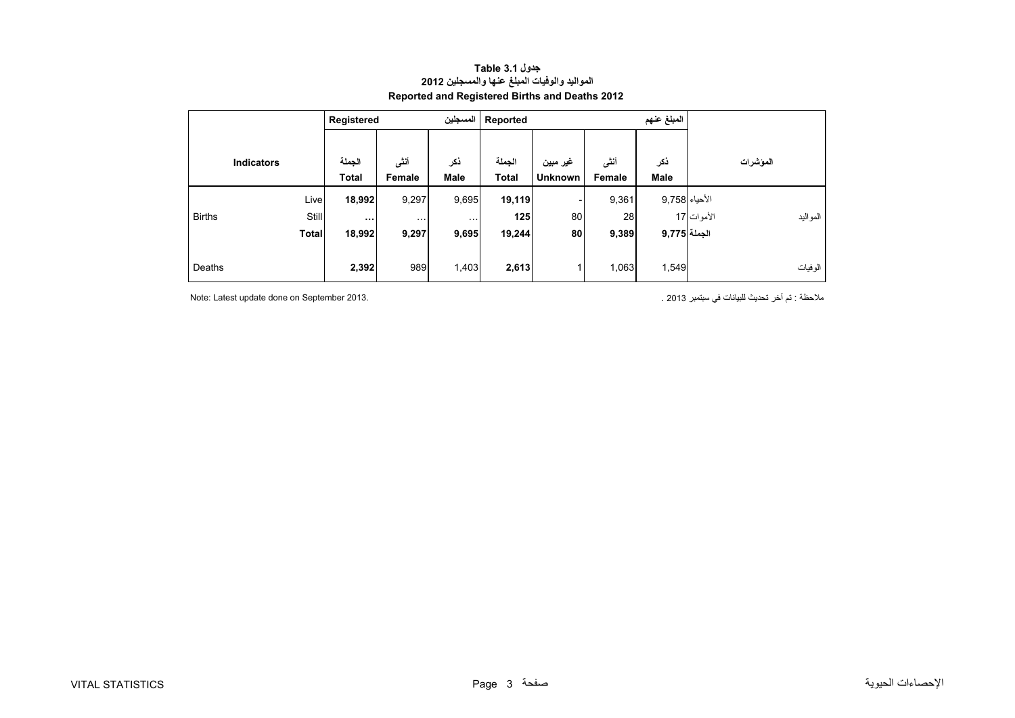<span id="page-2-0"></span>

|               |                   |              | Registered             |                      | المسجلين             | Reported               |                            |                |                    |            |          |          |
|---------------|-------------------|--------------|------------------------|----------------------|----------------------|------------------------|----------------------------|----------------|--------------------|------------|----------|----------|
|               | <b>Indicators</b> |              | الجملة<br><b>Total</b> | أننى<br>Female       | ذكر<br><b>Male</b>   | الجملة<br><b>Total</b> | غير مبين<br><b>Unknown</b> | أنشى<br>Female | ذكر<br><b>Male</b> |            | المؤشرات |          |
|               |                   | Live         | 18,992                 | 9,297                | 9,695                | 19,119                 |                            | 9,361          | الأحياء 9,758      |            |          |          |
| <b>Births</b> |                   | Still        | $\cdots$               | $\sim$ $\sim$ $\sim$ | $\sim$ $\sim$ $\sim$ | 125                    | 80                         | 28             |                    | الأموات 17 |          | المواليد |
|               |                   | <b>Total</b> | 18,992                 | 9,297                | 9,695                | 19,244                 | 80                         | 9,389          | الجملة 9,775       |            |          |          |
| Deaths        |                   |              | 2,392                  | 989                  | 1,403                | 2,613                  |                            | 1,063          | 1,549              |            |          | الوفيات  |

### **جدول 3.1 Table المواليد والوفيات المبلغ عنھا والمسجلين <sup>2012</sup> Reported and Registered Births and Deaths 2012**

ملاحظة : تم آخر تحديث للبيانات في سبتمبر 2013 .<br>ـ 2013 . 2013 . 2013 . 2013 . 2013 . 2019 . 2013 . 2014 . 2013 . 2014 . 2013 . 2014 . 2013 . 2014 . 2013 . 20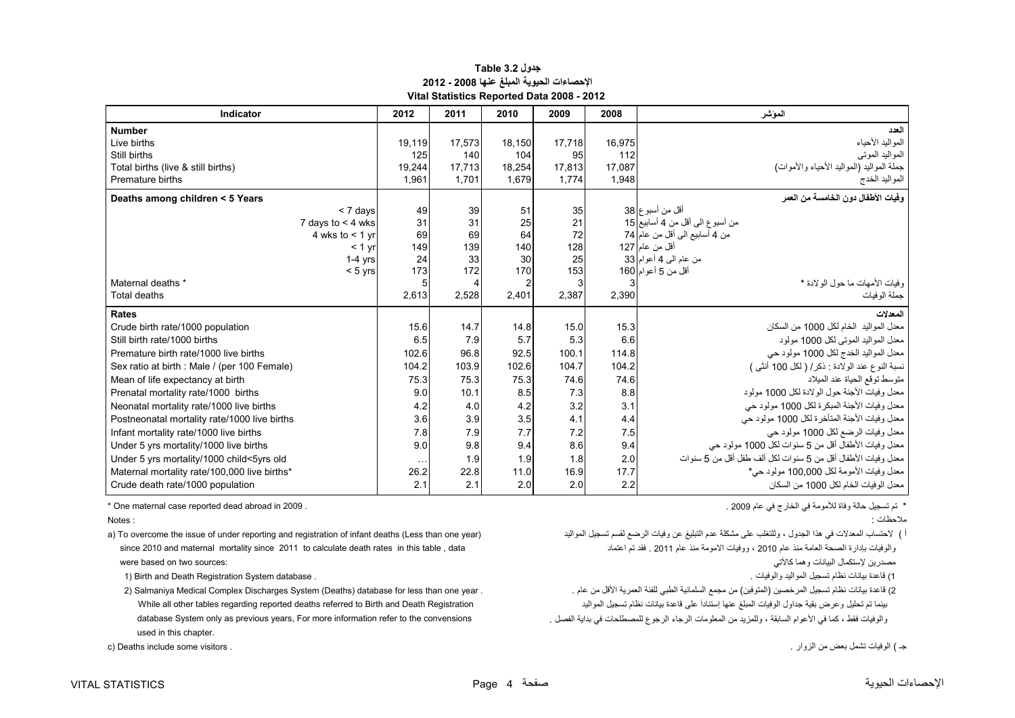#### **جدول 3.2 Table اإلحصاءات الحيوية المبلغ عنھا 2008 - 2012 Vital Statistics Reported Data 2008 - 2012**

<span id="page-3-0"></span>

| Indicator                                    | 2012             | 2011   | 2010   | 2009   | 2008   | الموشر                                                       |
|----------------------------------------------|------------------|--------|--------|--------|--------|--------------------------------------------------------------|
| <b>Number</b>                                |                  |        |        |        |        | العدد                                                        |
| Live births                                  | 19.119           | 17,573 | 18,150 | 17,718 | 16,975 | المواليد الأحياء                                             |
| Still births                                 | 125              | 140    | 104    | 95     | 112    | المواليد الموتي                                              |
| Total births (live & still births)           | 19.244           | 17.713 | 18.254 | 17,813 | 17.087 | جملة المواليد (المواليد الأحياء والأموات)                    |
| Premature births                             | 1.961            | 1.701  | 1.679  | 1.774  | 1.948  | المواليد الخدج                                               |
| Deaths among children < 5 Years              |                  |        |        |        |        | و فيات الأطفال دو ن الخامسة من العمر                         |
| < 7 days                                     | 49               | 39     | 51     | 35     |        | أقل من أسبوع 38                                              |
| 7 days to $<$ 4 wks                          | 31               | 31     | 25     | 21     |        | من أسبوع الى أقل من 4 أسابيع 15                              |
| 4 wks to $<$ 1 yr                            | 69               | 69     | 64     | 72     |        | من 4 أسابيع الى أقل من عام 74                                |
|                                              | 149<br>$< 1$ yr  | 139    | 140    | 128    |        | أقل من عام 127                                               |
|                                              | 24<br>$1-4$ yrs  | 33     | 30     | 25     |        | من عام الى 4 أعوام 33                                        |
|                                              | 173<br>$< 5$ yrs | 172    | 170    | 153    |        | أقل من 5 أعو ام 160                                          |
| Maternal deaths *                            |                  | 4      | 2      | 3      |        | وفيات الأمهات ما حول الولادة *                               |
| <b>Total deaths</b>                          | 2,613            | 2,528  | 2.401  | 2.387  | 2,390  | جملة الوفيات                                                 |
| Rates                                        |                  |        |        |        |        | المعدلات                                                     |
| Crude birth rate/1000 population             | 15.6             | 14.7   | 14.8   | 15.0   | 15.3   | معدل المواليد الخام لكل 1000 من السكان                       |
| Still birth rate/1000 births                 | 6.5              | 7.9    | 5.7    | 5.3    | 6.6    | معدل المواليد الموتے لکل 1000 مولود                          |
| Premature birth rate/1000 live births        | 102.6            | 96.8   | 92.5   | 100.1  | 114.8  | معدل المواليد الخدج لكل 1000 مولود حي                        |
| Sex ratio at birth : Male / (per 100 Female) | 104.2            | 103.9  | 102.6  | 104.7  | 104.2  | نسبة النوع عند الولادة : ذكر/ ( لكل 100 أنثى )               |
| Mean of life expectancy at birth             | 75.3             | 75.3   | 75.3   | 74.6   | 74.6   | منوسط نوقع الحياة عند الميلاد                                |
| Prenatal mortality rate/1000 births          | 9.0              | 10.1   | 8.5    | 7.3    | 8.8    | معدل وفيات الأجنة حول الولادة لكل 1000 مولود                 |
| Neonatal mortality rate/1000 live births     | 4.2              | 4.0    | 4.2    | 3.2    | 3.1    | معدل وفيات الأجنة المبكرة لكل 1000 مولود حي                  |
| Postneonatal mortality rate/1000 live births | 3.6              | 3.9    | 3.5    | 4.1    | 4.4    | معدل وفيات الأجنة المتأخرة لكل 1000 مولود حي                 |
| Infant mortality rate/1000 live births       | 7.8              | 7.9    | 7.7    | 7.2    | 7.5    | معدل وفيات الرضع لكل 1000 مولود حي                           |
| Under 5 yrs mortality/1000 live births       | 9.0              | 9.8    | 9.4    | 8.6    | 9.4    | معدل وفيات الأطفال أقل من 5 سنوات لكل 1000 مولود حي          |
| Under 5 yrs mortality/1000 child<5yrs old    | $\cdots$         | 1.9    | 1.9    | 1.8    | 2.0    | معدل وفيات الأطفال أقل من 5 سنوات لكل ألف طفل أقل من 5 سنوات |
| Maternal mortality rate/100,000 live births* | 26.2             | 22.8   | 11.0   | 16.9   | 17.7   | معدل وفيات الأمومة لكل 100.000 مولود حي*                     |
| Crude death rate/1000 population             | 2.1              | 2.1    | 2.0    | 2.0    | 2.2    | معدل الوفيات الخام لكل 1000 من السكان                        |

والوفيات بإدارة الصحة العامة منذ عام 2010 ، ووفيات الامومة منذ عام 2011 . فقد تم اعتماد صحام 2011 . فقد تم اعتماد 2011 . فقد تم اعتماد العامة منذ عام 2011 . فقد تم اعتماد العامة منذ عام 2011 . فقد تم اعتماد العامة المعدى مصدر ين الستكمال البيانات وھما كالآتي :sources : يحمدر بن إلستكمال البيانات وھما كالآتي :sources two sources t

1) قاعدة بيانات نظام تسجيل المواليد والوفيات .<br>1) Birth and Death Registration System database .

2) قاعدة بيانات نظام تسجيل المرخصين (المتوفين) من مجمع السلمانية الطبي للفئة العمرية الأقل من عام . Salmaniya Medical Complex Discharges System (Deaths) database for less than one year بينما تم تحليل وعرض بقية جداول الوفيات المبلغ عنھا إستناداَ على قاعدة بيانات نظام تسجيل المواليد Registration Death and Birth to referred deaths reported regarding tables other all While والوفيات فقط ، كما في الأعوام السابقة ، وللمزيد من المعلومات الرجوع للمصطلحات في بداية الفصل . convensions the to the convensions والوفيات فقط ، كما في الأعوام السابقة ، وللمرز من المعلومات الرجوع للمصطلحات في بداية الفصل used in this chapter.

\* تم تسجيل حالة وفاة لألمومة في الخارج في عام 2009 . . 2009 in abroad dead reported case maternal One\* مالحظات : : Notes

أ ) لاحتساب المعدلات في هذا الجدول ، وللتغلب على مشكلة عدم التبليغ عن وفيات الرضع لقسم تسجيل المواليد ( a) To overcome the issue of under reporting and registration of infant deaths (Less than one year) (هن الرضع لقسم تسج

جـ ) الوفيات تشمل بعض من الزوار . . visitors some include Deaths) c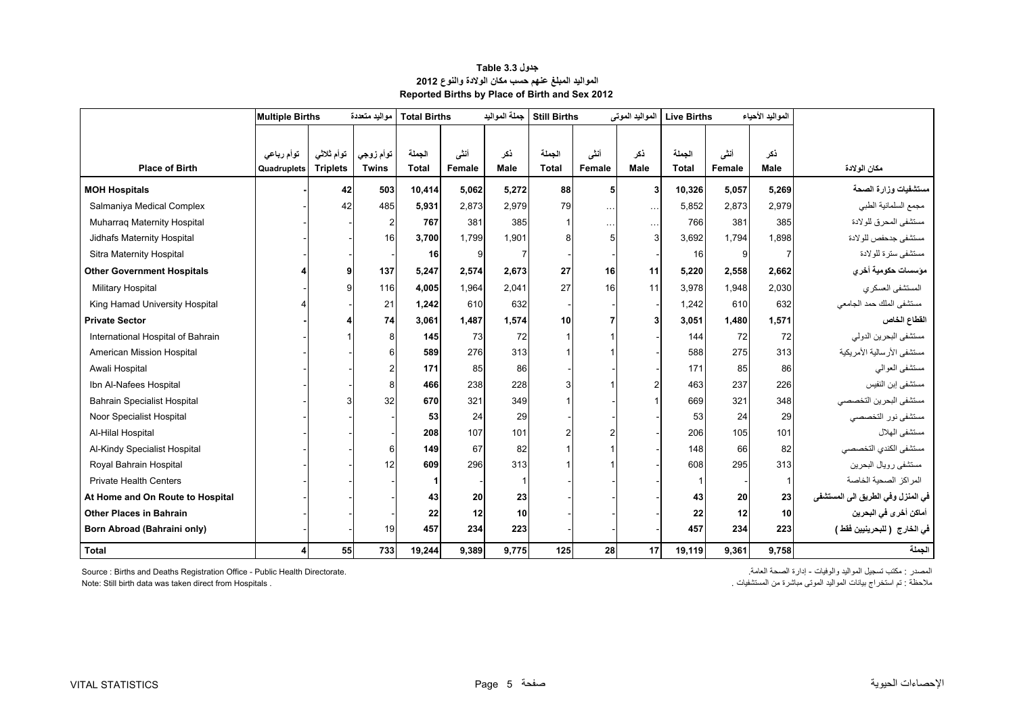#### **جدول 3.3 Table المواليد المبلغ عنھم حسب مكان الوالدة والنوع <sup>2012</sup> Reported Births by Place of Birth and Sex 2012**

<span id="page-4-0"></span>

|                                    | <b>Multiple Births</b> |                 | مواليد متعددة  | <b>Total Births</b> |        | جملة المواليد | <b>Still Births</b> |          | المواليد الموتى | <b>Live Births</b> |        | المواليد الأحياء |                                   |
|------------------------------------|------------------------|-----------------|----------------|---------------------|--------|---------------|---------------------|----------|-----------------|--------------------|--------|------------------|-----------------------------------|
|                                    |                        |                 |                |                     |        |               |                     |          |                 |                    |        |                  |                                   |
|                                    | توأم رباعي             | توأم ثلاثى      | توأم زوجي      | الجملة              | أنشى   | ذكر           | الجملة              | أنشى     | ذكر             | الجملة             | أنشى   | ذكر              |                                   |
| <b>Place of Birth</b>              | Quadruplets            | <b>Triplets</b> | <b>Twins</b>   | <b>Total</b>        | Female | Male          | <b>Total</b>        | Female   | Male            | <b>Total</b>       | Female | <b>Male</b>      | مكان الولادة                      |
| <b>MOH Hospitals</b>               |                        | 42              | 503            | 10,414              | 5,062  | 5,272         | 88                  | 5        | 3 <sup>1</sup>  | 10,326             | 5,057  | 5,269            | مستشفيات وزارة الصحة              |
| Salmaniya Medical Complex          |                        | 42              | 485            | 5,931               | 2,873  | 2,979         | 79                  | $\ldots$ | $\ldots$        | 5,852              | 2,873  | 2,979            | مجمع السلمانية الطبي              |
| Muharraq Maternity Hospital        |                        |                 | $\overline{2}$ | 767                 | 381    | 385           | 1                   | $\ldots$ | $\ldots$        | 766                | 381    | 385              | مستشفى المحرق للولادة             |
| Jidhafs Maternity Hospital         |                        |                 | 16             | 3,700               | 1,799  | 1,901         | 8                   | 5        | 3 <sup>1</sup>  | 3,692              | 1,794  | 1,898            | مستشفى جدحفص للولادة              |
| Sitra Maternity Hospital           |                        |                 |                | 16                  | 9      | 7             |                     |          |                 | 16                 | 9      | 7                | مستشفى سترة للولادة               |
| <b>Other Government Hospitals</b>  |                        |                 | 137            | 5,247               | 2,574  | 2,673         | 27                  | 16       | 11              | 5,220              | 2,558  | 2,662            | مؤسسات حكومية أخري                |
| <b>Military Hospital</b>           |                        |                 | 116            | 4,005               | 1,964  | 2,041         | 27                  | 16       | 11              | 3,978              | 1,948  | 2,030            | المستشفى العسكري                  |
| King Hamad University Hospital     |                        |                 | 21             | 1,242               | 610    | 632           |                     |          |                 | 1,242              | 610    | 632              | مستشفى الملك حمد الجامعي          |
| <b>Private Sector</b>              |                        |                 | 74             | 3,061               | 1,487  | 1,574         | 10                  |          | $\mathbf{3}$    | 3,051              | 1,480  | 1,571            | القطاع الخاص                      |
| International Hospital of Bahrain  |                        |                 | 8              | 145                 | 73     | 72            |                     |          |                 | 144                | 72     | 72               | مستشفى البحرين الدولي             |
| American Mission Hospital          |                        |                 | 6              | 589                 | 276    | 313           |                     |          |                 | 588                | 275    | 313              | مستشفى الأرسالية الأمريكية        |
| Awali Hospital                     |                        |                 |                | 171                 | 85     | 86            |                     |          |                 | 171                | 85     | 86               | مستشفى العوالي                    |
| Ibn Al-Nafees Hospital             |                        |                 | 8              | 466                 | 238    | 228           |                     |          | $\overline{a}$  | 463                | 237    | 226              | مستشفى إبن النفيس                 |
| <b>Bahrain Specialist Hospital</b> |                        |                 | 32             | 670                 | 321    | 349           |                     |          |                 | 669                | 321    | 348              | مستشفى البحرين التخصصي            |
| Noor Specialist Hospital           |                        |                 |                | 53                  | 24     | 29            |                     |          |                 | 53                 | 24     | 29               | مستشفى نور التخصصي                |
| Al-Hilal Hospital                  |                        |                 |                | 208                 | 107    | 101           |                     |          |                 | 206                | 105    | 101              | مستشفى الهلال                     |
| Al-Kindy Specialist Hospital       |                        |                 | $6 \,$         | 149                 | 67     | 82            |                     |          |                 | 148                | 66     | 82               | مستشفى الكندي التخصصي             |
| Royal Bahrain Hospital             |                        |                 | 12             | 609                 | 296    | 313           |                     |          |                 | 608                | 295    | 313              | مستشفى رويال البحرين              |
| <b>Private Health Centers</b>      |                        |                 |                |                     |        |               |                     |          |                 |                    |        | $\mathbf{1}$     | المراكز الصحية الخاصة             |
| At Home and On Route to Hospital   |                        |                 |                | 43                  | 20     | 23            |                     |          |                 | 43                 | 20     | 23               | في المنزل وفي الطريق الى المستشفى |
| <b>Other Places in Bahrain</b>     |                        |                 |                | 22                  | 12     | 10            |                     |          |                 | 22                 | 12     | 10               | أماكن أخرى في البحرين             |
| Born Abroad (Bahraini only)        |                        |                 | 19             | 457                 | 234    | 223           |                     |          |                 | 457                | 234    | 223              | في الخارج  ( للبحرينيين فقط )     |
| <b>Total</b>                       |                        | 55              | 733            | 19,244              | 9,389  | 9,775         | 125                 | 28       | 17              | 19,119             | 9,361  | 9,758            | الجملة                            |

Source : Births and Deaths Registration Office - Public Health Directorate. .العامة الصحة إدارة - والوفيات المواليد تسجيل مكتب : المصدر مالحظة : تم استخراج بيانات المواليد الموتى مباشرة من المستشفيات . . Hospitals from direct taken was data birth Still :Note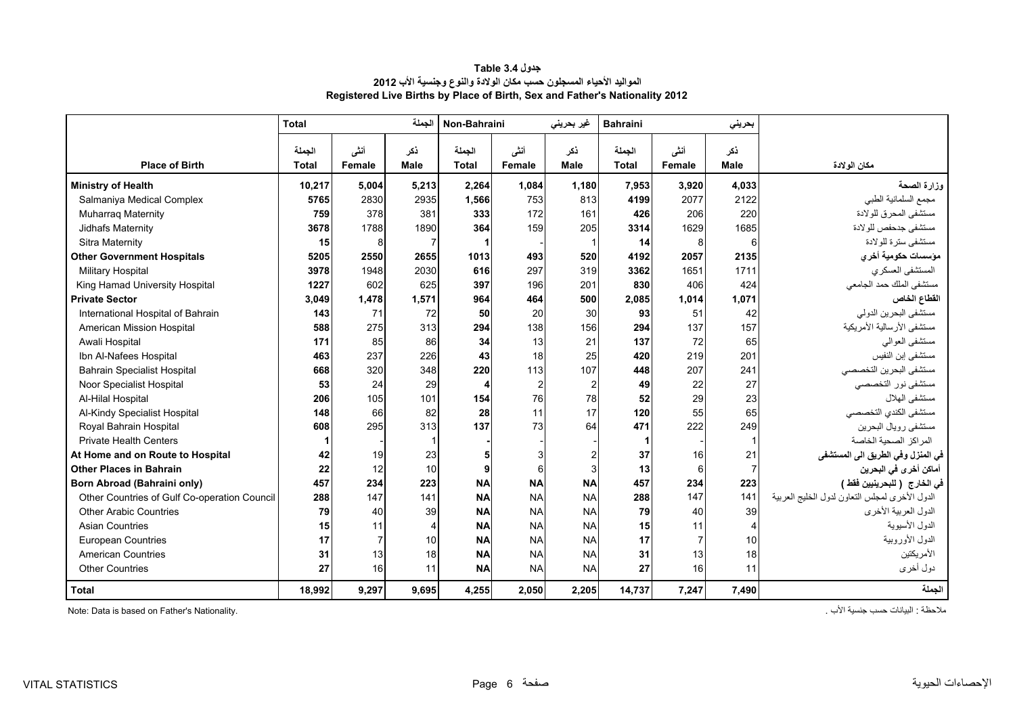# **جدول 3.4 Table المواليد األحياء المسجلون حسب مكان الوالدة والنوع وجنسية األب <sup>2012</sup> Registered Live Births by Place of Birth, Sex and Father's Nationality 2012**

<span id="page-5-0"></span>

|                                              | <b>Total</b>           |                | الجملة             | Non-Bahraini    |                       | غير بحريني         | <b>Bahraini</b>        |                | بحريني             |                                                |
|----------------------------------------------|------------------------|----------------|--------------------|-----------------|-----------------------|--------------------|------------------------|----------------|--------------------|------------------------------------------------|
| <b>Place of Birth</b>                        | الجملة<br><b>Total</b> | أننس<br>Female | نكر<br><b>Male</b> | الجملة<br>Total | أنشى<br><b>Female</b> | ذكر<br><b>Male</b> | الجملة<br><b>Total</b> | أننس<br>Female | ذكر<br><b>Male</b> | مكان الولادة                                   |
| <b>Ministry of Health</b>                    | 10,217                 | 5,004          | 5,213              | 2,264           | 1,084                 | 1,180              | 7,953                  | 3,920          | 4,033              | وزارة الصحة                                    |
| Salmaniya Medical Complex                    | 5765                   | 2830           | 2935               | 1.566           | 753                   | 813                | 4199                   | 2077           | 2122               | مجمع السلمانية الطبي                           |
| <b>Muharraq Maternity</b>                    | 759                    | 378            | 381                | 333             | 172                   | 161                | 426                    | 206            | 220                | مستشفى المحرق للولادة                          |
| Jidhafs Maternity                            | 3678                   | 1788           | 1890               | 364             | 159                   | 205                | 3314                   | 1629           | 1685               | مستشفى جدحفص للولادة                           |
| Sitra Maternity                              | 15                     | 8              | 7                  |                 |                       | -1                 | 14                     | 8              | 6                  | مستشفى سترة للولادة                            |
| <b>Other Government Hospitals</b>            | 5205                   | 2550           | 2655               | 1013            | 493                   | 520                | 4192                   | 2057           | 2135               | مؤسسات حكومية أخرى                             |
| <b>Military Hospital</b>                     | 3978                   | 1948           | 2030               | 616             | 297                   | 319                | 3362                   | 1651           | 1711               | المستشفى العسكرى                               |
| King Hamad University Hospital               | 1227                   | 602            | 625                | 397             | 196                   | 201                | 830                    | 406            | 424                | مستشفى الملك حمد الجامعي                       |
| <b>Private Sector</b>                        | 3.049                  | 1,478          | 1,571              | 964             | 464                   | 500                | 2,085                  | 1.014          | 1,071              | القطاع الخاص                                   |
| International Hospital of Bahrain            | 143                    | 71             | 72                 | 50              | 20                    | 30                 | 93                     | 51             | 42                 | مستشفى البحرين الدولي                          |
| American Mission Hospital                    | 588                    | 275            | 313                | 294             | 138                   | 156                | 294                    | 137            | 157                | مستشفى الأرسالية الأمريكية                     |
| Awali Hospital                               | 171                    | 85             | 86                 | 34              | 13                    | 21                 | 137                    | 72             | 65                 | مستشفى العوالمي                                |
| Ibn Al-Nafees Hospital                       | 463                    | 237            | 226                | 43              | 18                    | 25                 | 420                    | 219            | 201                | مستشفى إبن النفيس                              |
| <b>Bahrain Specialist Hospital</b>           | 668                    | 320            | 348                | 220             | 113                   | 107                | 448                    | 207            | 241                | مستشفى البحرين التخصصي                         |
| Noor Specialist Hospital                     | 53                     | 24             | 29                 | 4               | $\overline{2}$        | $\overline{2}$     | 49                     | 22             | 27                 | مستشفى نور التخصصي                             |
| Al-Hilal Hospital                            | 206                    | 105            | 101                | 154             | 76                    | 78                 | 52                     | 29             | 23                 | مستشفى الهلال                                  |
| Al-Kindy Specialist Hospital                 | 148                    | 66             | 82                 | 28              | 11                    | 17                 | 120                    | 55             | 65                 | مستشفى الكندي التخصصى                          |
| Royal Bahrain Hospital                       | 608                    | 295            | 313                | 137             | 73                    | 64                 | 471                    | 222            | 249                | مستشفى رويال البحرين                           |
| <b>Private Health Centers</b>                | -1                     |                |                    |                 |                       |                    | -1                     |                |                    | المراكز الصحية الخاصة                          |
| At Home and on Route to Hospital             | 42                     | 19             | 23                 | 5               | p                     | $\overline{2}$     | 37                     | 16             | 21                 | في المنزل وفي الطريق الى المستشفى              |
| <b>Other Places in Bahrain</b>               | 22                     | 12             | 10 <sup>1</sup>    | 9               | 6                     | 3                  | 13                     | 6              | $\overline{7}$     | أماكن أخر ى في البحرين                         |
| Born Abroad (Bahraini only)                  | 457                    | 234            | 223                | <b>NA</b>       | <b>NA</b>             | <b>NA</b>          | 457                    | 234            | 223                | في الخارج  ( للبحرينيين فقط )                  |
| Other Countries of Gulf Co-operation Council | 288                    | 147            | 141                | <b>NA</b>       | <b>NA</b>             | <b>NA</b>          | 288                    | 147            | 141                | الدول الأخرى لمجلس التعاون لدول الخليج العربية |
| <b>Other Arabic Countries</b>                | 79                     | 40             | 39                 | <b>NA</b>       | <b>NA</b>             | <b>NA</b>          | 79                     | 40             | 39                 | الدول العربية الأخرى                           |
| <b>Asian Countries</b>                       | 15                     | 11             | $\overline{4}$     | <b>NA</b>       | <b>NA</b>             | <b>NA</b>          | 15                     | 11             | $\overline{4}$     | الدول الأسيوية                                 |
| <b>European Countries</b>                    | 17                     | $\overline{7}$ | 10                 | <b>NA</b>       | <b>NA</b>             | <b>NA</b>          | 17                     | $\overline{7}$ | 10                 | الدول الأوروبية                                |
| <b>American Countries</b>                    | 31                     | 13             | 18                 | <b>NA</b>       | <b>NA</b>             | <b>NA</b>          | 31                     | 13             | 18                 | الأمريكتين                                     |
| <b>Other Countries</b>                       | 27                     | 16             | 11                 | <b>NA</b>       | <b>NA</b>             | <b>NA</b>          | 27                     | 16             | 11                 | دول أخرى                                       |
| <b>Total</b>                                 | 18,992                 | 9,297          | 9,695              | 4,255           | 2,050                 | 2,205              | 14,737                 | 7,247          | 7,490              | الجملة                                         |

Note: Data is based on Father's Nationality. . األب جنسية حسب البيانات : مالحظة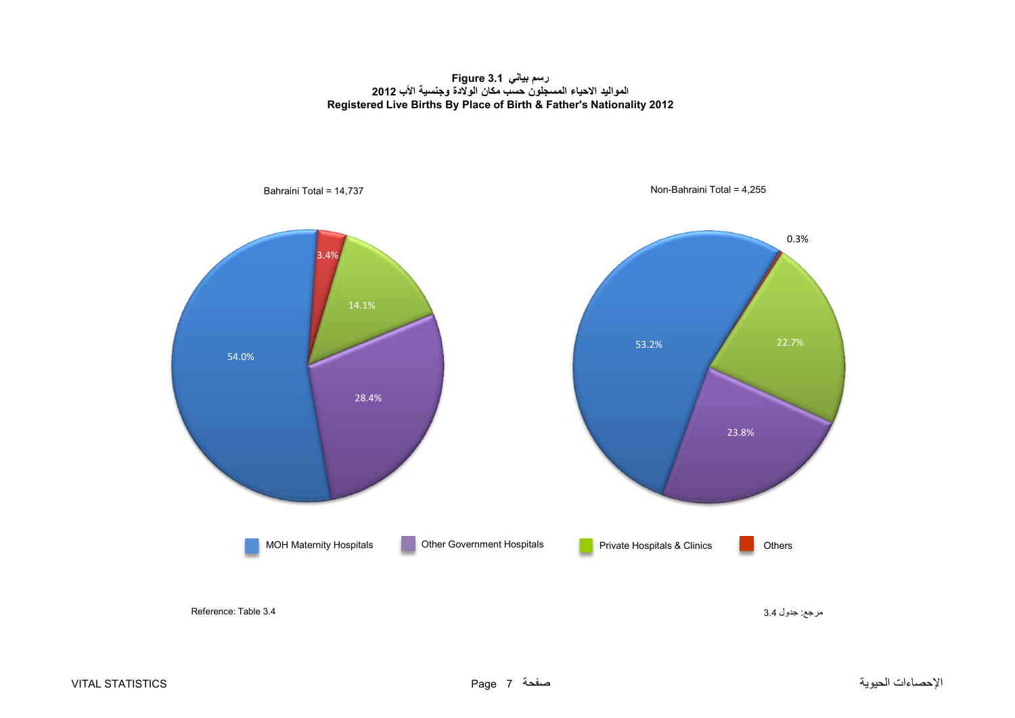**رسم بياني 3.1 Figure المواليد االحياء المسجلون حسب مكان الوالدة وجنسية األب <sup>2012</sup> Registered Live Births By Place of Birth & Father's Nationality 2012**

<span id="page-6-0"></span>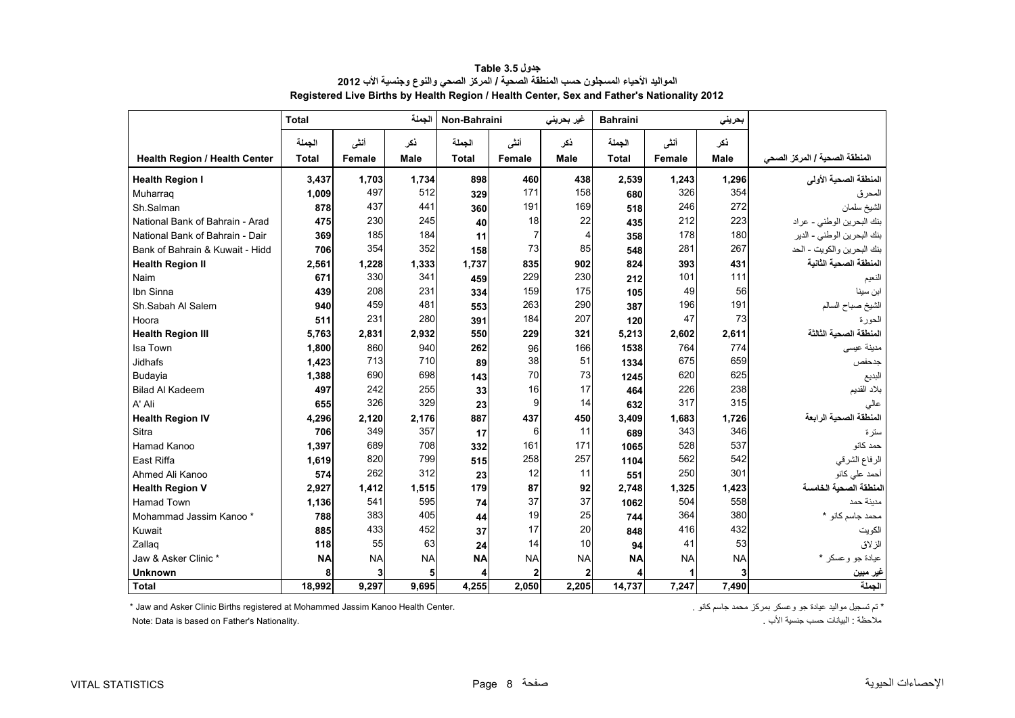<span id="page-7-0"></span>

|                                      | <b>Total</b> |           | الحملة      | Non-Bahraini |                | غیر بحرین <i>ی</i> | <b>Bahraini</b> |               | بحريني      |                               |
|--------------------------------------|--------------|-----------|-------------|--------------|----------------|--------------------|-----------------|---------------|-------------|-------------------------------|
|                                      | الجملة       | أننى      | ذكر         | الجملة       | أنشى           | ڏکر                | الجملة          | أننى          | ذكر         |                               |
| <b>Health Region / Health Center</b> | <b>Total</b> | Female    | <b>Male</b> | <b>Total</b> | Female         | Male               | <b>Total</b>    | <b>Female</b> | <b>Male</b> | المنطقة الصحية / المركز الصحى |
| <b>Health Region I</b>               | 3,437        | 1,703     | 1,734       | 898          | 460            | 438                | 2,539           | 1,243         | 1,296       | المنطقة الصحية الأولى         |
| Muharrag                             | 1,009        | 497       | 512         | 329          | 171            | 158                | 680             | 326           | 354         | المحرق                        |
| Sh.Salman                            | 878          | 437       | 441         | 360          | 191            | 169                | 518             | 246           | 272         | الشيخ سلمان                   |
| National Bank of Bahrain - Arad      | 475          | 230       | 245         | 40           | 18             | 22                 | 435             | 212           | 223         | بنك البحرين الوطني - عراد     |
| National Bank of Bahrain - Dair      | 369          | 185       | 184         | 11           | $\overline{7}$ | 4                  | 358             | 178           | 180         | بنك البحرين الوطني - الدير    |
| Bank of Bahrain & Kuwait - Hidd      | 706          | 354       | 352         | 158          | 73             | 85                 | 548             | 281           | 267         | بنك البحرين والكويت - الحد    |
| <b>Health Region II</b>              | 2,561        | 1,228     | 1,333       | 1,737        | 835            | 902                | 824             | 393           | 431         | المنطقة الصحبة الثانبة        |
| Naim                                 | 671          | 330       | 341         | 459          | 229            | 230                | 212             | 101           | 111         | النعيم                        |
| Ibn Sinna                            | 439          | 208       | 231         | 334          | 159            | 175                | 105             | 49            | 56          | ابن سينا                      |
| Sh.Sabah Al Salem                    | 940          | 459       | 481         | 553          | 263            | 290                | 387             | 196           | 191         | الشيخ صباح السالم             |
| Hoora                                | 511          | 231       | 280         | 391          | 184            | 207                | 120             | 47            | 73          | الحورة                        |
| <b>Health Region III</b>             | 5,763        | 2,831     | 2,932       | 550          | 229            | 321                | 5,213           | 2,602         | 2,611       | المنطقة الصحية الثالثة        |
| Isa Town                             | 1,800        | 860       | 940         | 262          | 96             | 166                | 1538            | 764           | 774         | مدينة عيسى                    |
| Jidhafs                              | 1,423        | 713       | 710         | 89           | 38             | 51                 | 1334            | 675           | 659         | جدحفص                         |
| Budayia                              | 1,388        | 690       | 698         | 143          | 70             | 73                 | 1245            | 620           | 625         | البديع                        |
| <b>Bilad Al Kadeem</b>               | 497          | 242       | 255         | 33           | 16             | 17                 | 464             | 226           | 238         | بلاد القديم                   |
| A' Ali                               | 655          | 326       | 329         | 23           | 9              | 14                 | 632             | 317           | 315         | عالى                          |
| <b>Health Region IV</b>              | 4,296        | 2,120     | 2,176       | 887          | 437            | 450                | 3,409           | 1,683         | 1,726       | المنطقة الصحية الرابعة        |
| Sitra                                | 706          | 349       | 357         | 17           | 6              | 11                 | 689             | 343           | 346         | ستر ۃ                         |
| Hamad Kanoo                          | 1,397        | 689       | 708         | 332          | 161            | 171                | 1065            | 528           | 537         | حمد کانو                      |
| East Riffa                           | 1,619        | 820       | 799         | 515          | 258            | 257                | 1104            | 562           | 542         | الرفاع الشرقي                 |
| Ahmed Ali Kanoo                      | 574          | 262       | 312         | 23           | 12             | 11                 | 551             | 250           | 301         | أحمد على كانو                 |
| <b>Health Region V</b>               | 2,927        | 1,412     | 1,515       | 179          | 87             | 92                 | 2,748           | 1,325         | 1,423       | لمنطقة الصحية الخامسة         |
| <b>Hamad Town</b>                    | 1,136        | 541       | 595         | 74           | 37             | 37                 | 1062            | 504           | 558         | مدبنة حمد                     |
| Mohammad Jassim Kanoo *              | 788          | 383       | 405         | 44           | 19             | 25                 | 744             | 364           | 380         | محمد جاسم كانو *              |
| Kuwait                               | 885          | 433       | 452         | 37           | 17             | 20                 | 848             | 416           | 432         | الكويت                        |
| Zallag                               | 118          | 55        | 63          | 24           | 14             | 10                 | 94              | 41            | 53          | الزلاق                        |
| Jaw & Asker Clinic *                 | <b>NA</b>    | <b>NA</b> | <b>NA</b>   | <b>NA</b>    | <b>NA</b>      | <b>NA</b>          | <b>NA</b>       | <b>NA</b>     | <b>NA</b>   | عيادة جو وعسكر *              |
| <b>Unknown</b>                       | 8            | 3         | 5           | 4            | 2              | $\overline{2}$     |                 |               | 3           | غير مبين                      |
| <b>Total</b>                         | 18.992       | 9,297     | 9.695       | 4,255        | 2,050          | 2,205              | 14,737          | 7,247         | 7,490       | الجملة                        |

**جدول 3.5 Table المواليد األحياء المسجلون حسب المنطقة الصحية / المركز الصحي والنوع وجنسية األب <sup>2012</sup> Registered Live Births by Health Region / Health Center, Sex and Father's Nationality 2012** 

\* Jaw and Asker Clinic Births registered at Mohammed Jassim Kanoo Health Center. كانو جالدة جو وعسكر بمركز محمد جاسم كانو جاسم كانو جاسم كانو عيادة مواليد عيادة مواليد عيادة مواطيد عيادة مواطيد عيادة مواطيد تسجيل مواليد ع

ملاحظة : البيانات حسب جنسية الأب .<br>ملاحظة : البيانات حسب جنسية الأب .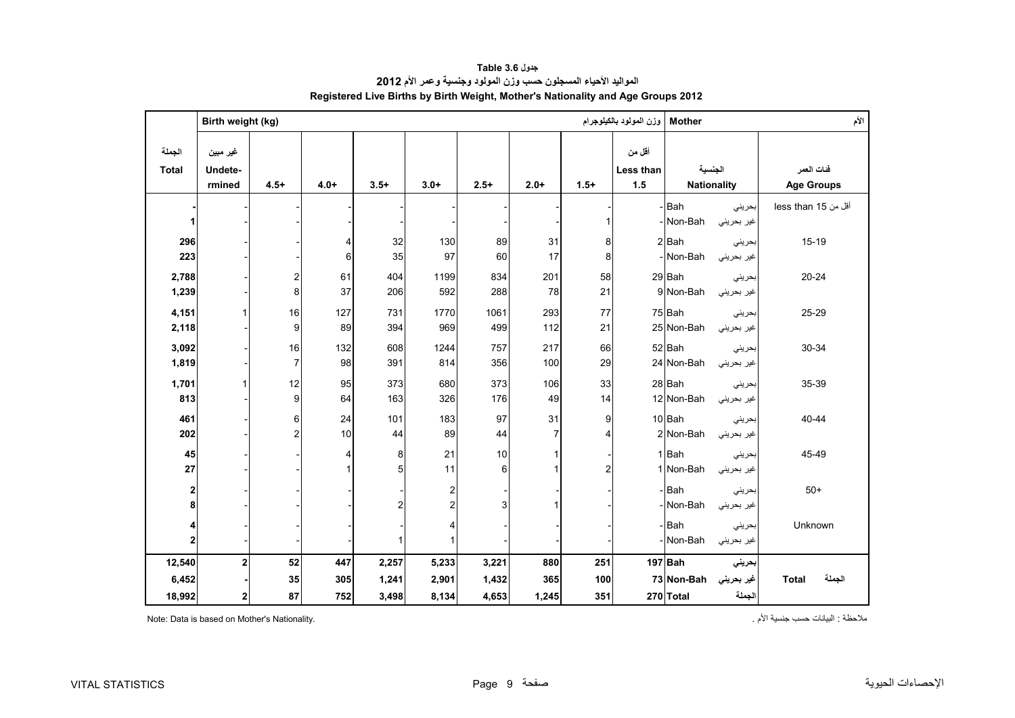<span id="page-8-0"></span>

|                              | الأم<br>Birth weight (kg)<br>وزن المولود بالكيلوجرام<br><b>Mother</b> |                     |                   |            |                                |             |                      |                |                            |                      |                      |                                 |  |
|------------------------------|-----------------------------------------------------------------------|---------------------|-------------------|------------|--------------------------------|-------------|----------------------|----------------|----------------------------|----------------------|----------------------|---------------------------------|--|
| الجملة<br><b>Total</b>       | غير مبين<br>Undete-<br>rmined                                         | $4.5+$              | $4.0+$            | $3.5+$     | $3.0+$                         | $2.5+$      | $2.0+$               | $1.5+$         | أقل من<br>Less than<br>1.5 | الجنسية              | <b>Nationality</b>   | فنات العمر<br><b>Age Groups</b> |  |
| 1                            |                                                                       |                     |                   |            |                                |             |                      |                |                            | - Bah<br>- Non-Bah   | بحريني<br>غير بحريني | أقل من 15 less than             |  |
| 296<br>223                   |                                                                       |                     | 4<br>6            | 32<br>35   | 130<br>97                      | 89<br>60    | 31<br>17             | 8<br>8         |                            | $2$ Bah<br>- Non-Bah | بحرينى<br>غير بحريني | $15 - 19$                       |  |
| 2,788<br>1,239               |                                                                       | 2<br>8              | 61<br>37          | 404<br>206 | 1199<br>592                    | 834<br>288  | 201<br>78            | 58<br>21       |                            | 29 Bah<br>9 Non-Bah  | بحرينى<br>غير بحريني | $20 - 24$                       |  |
| 4,151<br>2,118               |                                                                       | 16<br>9             | 127<br>89         | 731<br>394 | 1770<br>969                    | 1061<br>499 | 293<br>112           | 77<br>21       |                            | 75 Bah<br>25 Non-Bah | بحريني<br>غير بحريني | 25-29                           |  |
| 3,092<br>1,819               |                                                                       | 16<br>7             | 132<br>98         | 608<br>391 | 1244<br>814                    | 757<br>356  | 217<br>100           | 66<br>29       |                            | 52 Bah<br>24 Non-Bah | بحرينى<br>غير بحريني | 30-34                           |  |
| 1,701<br>813                 |                                                                       | 12<br>9             | 95<br>64          | 373<br>163 | 680<br>326                     | 373<br>176  | 106<br>49            | 33<br>14       |                            | 28 Bah<br>12 Non-Bah | بحريني<br>غير بحريني | 35-39                           |  |
| 461<br>202                   |                                                                       | 6<br>$\overline{c}$ | 24<br>10          | 101<br>44  | 183<br>89                      | 97<br>44    | 31<br>$\overline{7}$ | 9<br>4         |                            | 10 Bah<br>2 Non-Bah  | بحريني<br>غير بحريني | 40-44                           |  |
| 45<br>27                     |                                                                       |                     | 4<br>$\mathbf{1}$ | 8<br>5     | 21<br>11                       | 10<br>6     | 1<br>1               | $\overline{a}$ |                            | 1Bah<br>1 Non-Bah    | بحرينى<br>غير بحريني | 45-49                           |  |
| $\overline{\mathbf{c}}$<br>8 |                                                                       |                     |                   | 2          | $\mathbf{Z}$<br>$\overline{2}$ | 3           |                      |                |                            | -Bah<br>-Non-Bah     | بحريني<br>غير بحريني | $50+$                           |  |
| 4<br>$\mathbf 2$             |                                                                       |                     |                   | 1          | 4<br>$\mathbf{1}$              |             |                      |                |                            | -Bah<br>- Non-Bah    | بحريني<br>غير بحريني | Unknown                         |  |
| 12,540                       | $\overline{2}$                                                        | 52                  | 447               | 2,257      | 5,233                          | 3,221       | 880                  | 251            |                            | 197 Bah              | بحريني               |                                 |  |
| 6,452                        |                                                                       | 35                  | 305               | 1,241      | 2,901                          | 1,432       | 365                  | 100            |                            | 73 Non-Bah           | غير بحريني           | الجملة<br><b>Total</b>          |  |
| 18,992                       | 2                                                                     | 87                  | 752               | 3,498      | 8,134                          | 4,653       | 1,245                | 351            |                            | 270 Total            | الجملة               |                                 |  |

**جدول 3.6 Table المواليد األحياء المسجلون حسب وزن المولود وجنسية وعمر األم<sup>2012</sup> Registered Live Births by Birth Weight, Mother's Nationality and Age Groups 2012** 

Note: Data is based on Mother's Nationality. . األم جنسية حسب البيانات : مالحظة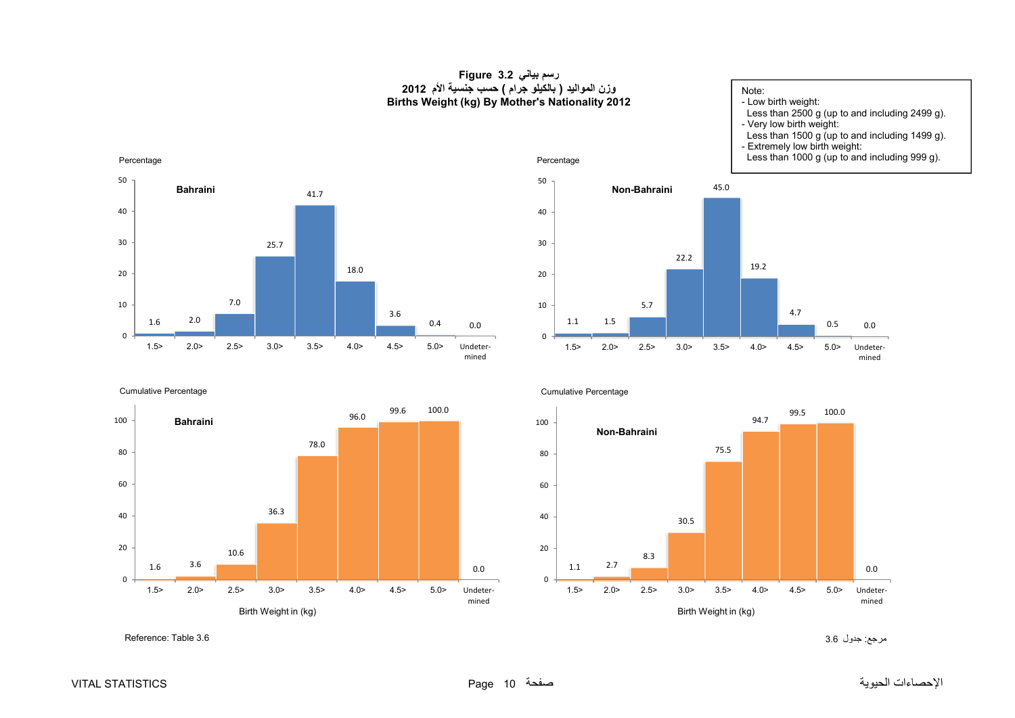#### **رسم بياني 3.2 Figure وزن المواليد ( بالكيلو جرام ) حسب جنسية األم <sup>2012</sup> Births Weight (kg) By Mother's Nationality 2012**

Percentage

<span id="page-9-0"></span>

Cumulative Percentage





Less than 1000 g (up to and including 999 g).





مرجع: جدول 3.6 3.6 Table :Reference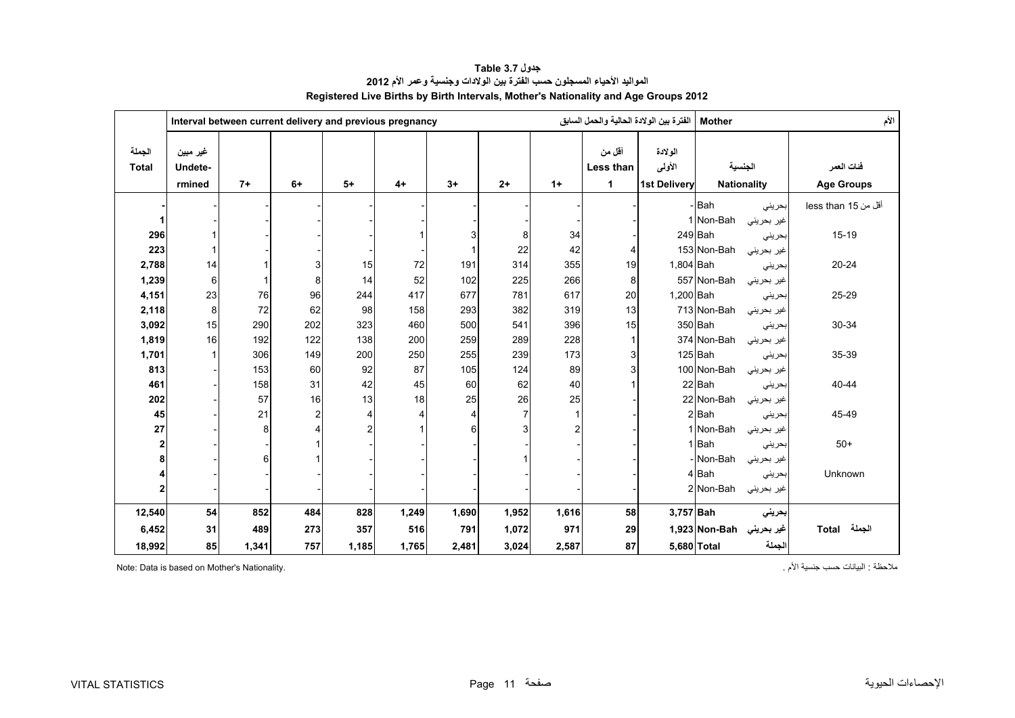<span id="page-10-0"></span>

|                        |                               |        | Interval between current delivery and previous pregnancy | الأم<br>الفترة بين الولادة الحالية والحمل السابق<br><b>Mother</b> |                         |       |       |       |                                     |                                          |                               |            |                                 |
|------------------------|-------------------------------|--------|----------------------------------------------------------|-------------------------------------------------------------------|-------------------------|-------|-------|-------|-------------------------------------|------------------------------------------|-------------------------------|------------|---------------------------------|
| الجملة<br><b>Total</b> | غير مبين<br>Undete-<br>rmined | $7+$   | $6+$                                                     | $5+$                                                              | $4+$                    | $3+$  | $2+$  | $1+$  | أقل من<br>Less than<br>$\mathbf{1}$ | الولادة<br>الأولى<br><b>1st Delivery</b> | الجنسية<br><b>Nationality</b> |            | فئات العمر<br><b>Age Groups</b> |
|                        |                               |        |                                                          |                                                                   |                         |       |       |       |                                     |                                          | - Bah                         | بحريني     | أقل من 15 less than             |
|                        |                               |        |                                                          |                                                                   |                         |       |       |       |                                     |                                          | 1 Non-Bah                     | غير بحريني |                                 |
| 296                    |                               |        |                                                          |                                                                   |                         | 3     | 8     | 34    |                                     |                                          | 249 Bah                       | بحريني     | $15-19$                         |
| 223                    |                               |        |                                                          |                                                                   |                         |       | 22    | 42    | $\overline{4}$                      |                                          | 153 Non-Bah                   | غير بحريني |                                 |
| 2,788                  | 14                            |        |                                                          | 15                                                                | 72                      | 191   | 314   | 355   | 19                                  | 1,804 Bah                                |                               | بحريني     | 20-24                           |
| 1,239                  | 6                             |        | 8                                                        | 14                                                                | 52                      | 102   | 225   | 266   | 8                                   |                                          | 557 Non-Bah                   | غیر بحرینی |                                 |
| 4,151                  | 23                            | 76     | 96                                                       | 244                                                               | 417                     | 677   | 781   | 617   | 20                                  | 1,200 Bah                                |                               | بحريني     | 25-29                           |
| 2,118                  | 8                             | $72\,$ | 62                                                       | 98                                                                | 158                     | 293   | 382   | 319   | 13                                  |                                          | 713 Non-Bah                   | غير بحريني |                                 |
| 3,092                  | 15                            | 290    | 202                                                      | 323                                                               | 460                     | 500   | 541   | 396   | 15                                  |                                          | 350 Bah                       | بحريني     | 30-34                           |
| 1,819                  | 16                            | 192    | 122                                                      | 138                                                               | 200                     | 259   | 289   | 228   |                                     |                                          | 374 Non-Bah                   | غير بحريني |                                 |
| 1,701                  |                               | 306    | 149                                                      | 200                                                               | 250                     | 255   | 239   | 173   | 3                                   |                                          | 125 Bah                       | بحريني     | 35-39                           |
| 813                    |                               | 153    | 60                                                       | 92                                                                | 87                      | 105   | 124   | 89    | 3                                   |                                          | 100 Non-Bah                   | غير بحريني |                                 |
| 461                    |                               | 158    | 31                                                       | 42                                                                | 45                      | 60    | 62    | 40    |                                     |                                          | 22 Bah                        | بحريني     | 40-44                           |
| 202                    |                               | 57     | 16                                                       | 13                                                                | 18                      | 25    | 26    | 25    |                                     |                                          | 22 Non-Bah                    | غیر بحرینی |                                 |
| 45                     |                               | 21     |                                                          | 4                                                                 | $\overline{\mathbf{4}}$ | 4     | 7     |       |                                     |                                          | $2$ Bah                       | بحريني     | 45-49                           |
| 27                     |                               | 8      |                                                          | $\mathfrak{p}$                                                    |                         | 6     | 3     |       |                                     |                                          | 1 Non-Bah                     | غير بحريني |                                 |
| $\mathbf{2}$           |                               |        |                                                          |                                                                   |                         |       |       |       |                                     |                                          | 1 Bah                         | بحريني     | $50+$                           |
|                        |                               | 6      |                                                          |                                                                   |                         |       |       |       |                                     |                                          | - Non-Bah                     | غير بحريني |                                 |
|                        |                               |        |                                                          |                                                                   |                         |       |       |       |                                     |                                          | 4 Bah                         | بحريني     | Unknown                         |
| $\overline{2}$         |                               |        |                                                          |                                                                   |                         |       |       |       |                                     |                                          | 2 Non-Bah                     | غير بحريني |                                 |
| 12,540                 | 54                            | 852    | 484                                                      | 828                                                               | 1,249                   | 1,690 | 1,952 | 1,616 | 58                                  | 3,757 Bah                                |                               | بحرينى     |                                 |
| 6,452                  | 31                            | 489    | 273                                                      | 357                                                               | 516                     | 791   | 1,072 | 971   | 29                                  |                                          | غير بحريني Non-Bah 1,923      |            | الجملة Total                    |
| 18,992                 | 85                            | 1,341  | 757                                                      | 1,185                                                             | 1,765                   | 2,481 | 3,024 | 2,587 | 87                                  |                                          | 5,680 Total                   | الجملة     |                                 |

**جدول 3.7 Table المواليد األحياء المسجلون حسب الفترة بين الوالدات وجنسية وعمر األم <sup>2012</sup> Registered Live Births by Birth Intervals, Mother's Nationality and Age Groups 2012** 

ملاحظة : البيانات حسب جنسية الأم . البيانات حسب جنسية الأم جنسية الأم جنسية الأم جنسية الأم جنسية الأم . البيا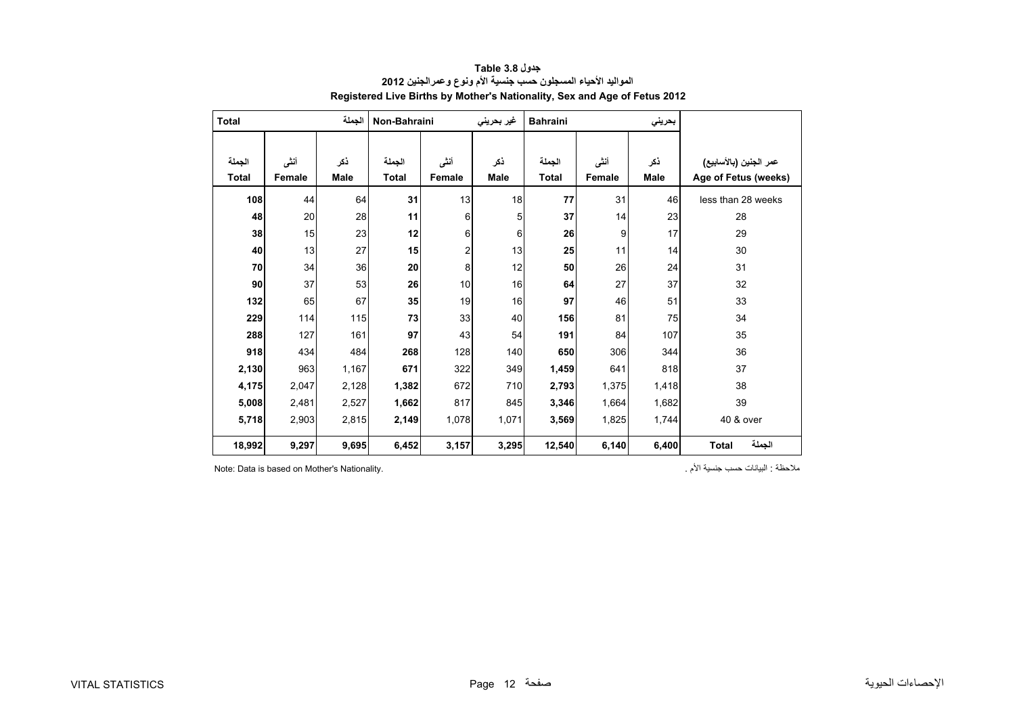<span id="page-11-0"></span>

| <b>Total</b> |               | الجملة      | Non-Bahraini |                         | غیر بحرینی  | <b>Bahraini</b> |               | بحريني      |                        |
|--------------|---------------|-------------|--------------|-------------------------|-------------|-----------------|---------------|-------------|------------------------|
|              |               |             |              |                         |             |                 |               |             |                        |
| الجملة       | أنشى          | ذكر         | الجملة       | أننسى                   | ذكر         | الجملة          | أننى          | ذكر         | عمر الجنين (بالأسابيع) |
| <b>Total</b> | <b>Female</b> | <b>Male</b> | <b>Total</b> | Female                  | <b>Male</b> | <b>Total</b>    | <b>Female</b> | <b>Male</b> | Age of Fetus (weeks)   |
| 108          | 44            | 64          | 31           | 13                      | 18          | 77              | 31            | 46          | less than 28 weeks     |
| 48           | 20            | 28          | 11           | 6                       | 5           | 37              | 14            | 23          | 28                     |
| 38           | 15            | 23          | 12           | 6                       | 6           | 26              | 9             | 17          | 29                     |
| 40           | 13            | 27          | 15           | $\overline{\mathbf{c}}$ | 13          | 25              | 11            | 14          | 30                     |
| 70           | 34            | 36          | 20           | 8                       | 12          | 50              | 26            | 24          | 31                     |
| 90           | 37            | 53          | 26           | 10                      | 16          | 64              | 27            | 37          | 32                     |
| 132          | 65            | 67          | 35           | 19                      | 16          | 97              | 46            | 51          | 33                     |
| 229          | 114           | 115         | 73           | 33                      | 40          | 156             | 81            | 75          | 34                     |
| 288          | 127           | 161         | 97           | 43                      | 54          | 191             | 84            | 107         | 35                     |
| 918          | 434           | 484         | 268          | 128                     | 140         | 650             | 306           | 344         | 36                     |
| 2,130        | 963           | 1,167       | 671          | 322                     | 349         | 1,459           | 641           | 818         | 37                     |
| 4,175        | 2,047         | 2,128       | 1,382        | 672                     | 710         | 2,793           | 1,375         | 1,418       | 38                     |
| 5,008        | 2,481         | 2,527       | 1,662        | 817                     | 845         | 3,346           | 1,664         | 1,682       | 39                     |
| 5,718        | 2,903         | 2,815       | 2,149        | 1,078                   | 1,071       | 3,569           | 1,825         | 1,744       | 40 & over              |
| 18,992       | 9,297         | 9,695       | 6,452        | 3,157                   | 3,295       | 12,540          | 6,140         | 6,400       | الجملة<br><b>Total</b> |

**جدول 3.8 Table المواليد األحياء المسجلون حسب جنسية األم ونوع وعمرالجنين <sup>2012</sup> Registered Live Births by Mother's Nationality, Sex and Age of Fetus 2012**

Note: Data is based on Mother's Nationality. . األم جنسية حسب البيانات : مالحظة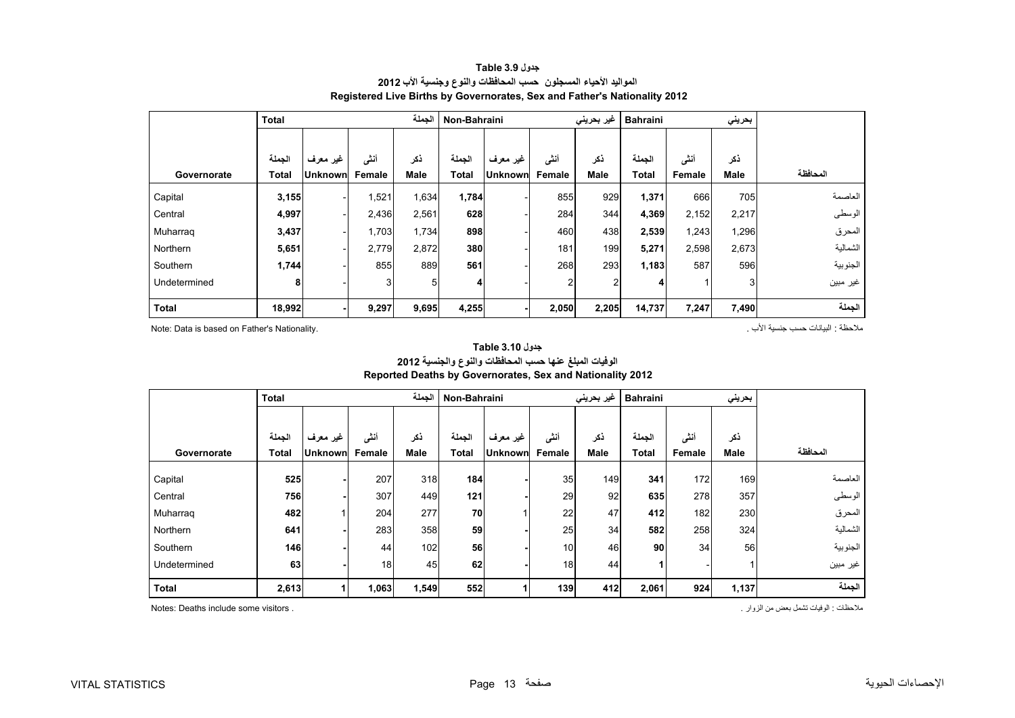# <span id="page-12-0"></span>**بحريني Bahraini غير بحريني Bahraini-Non الجملة Total**  ذكر | أنثى | الجملة | ذكر | أنثى |غير معرف| الجملة | ذكر | أنثى |غير معرف| الجملة Governorate | Total Unknown Female | Male | Total Unknown Female | Male | Total | Female | Male **المحافظة** العاصمة 705 666 **1,371** 929 855 - **1,784** 1,634 1,521 - **3,155** Capital الوسطى 2,217 2,152 **4,369** 344 284 - **628** 2,561 2,436 - **4,997** Central المحرق 1,296 1,243 **2,539** 438 460 - **898** 1,734 1,703 - **3,437** Muharraq الشمالية 2,673 2,598 **5,271** 199 181 - **380** 2,872 2,779 - **5,651** Northern الجنوبية 596 587 **1,183** 293 268 - **561** 889 855 - **1,744** Southern غير مبين 3 1 **4** -22 **4** -35 **8** Undetermined **الجملة**Total | 18,992 | -| 9,297 |9,695 |4,255 | - 2,050 |2,205 14,737 |7,247 |7,490

#### **جدول 3.9 Table المواليد األحياء المسجلون حسب المحافظات والنوع وجنسية األب <sup>2012</sup> Registered Live Births by Governorates, Sex and Father's Nationality 2012**

Note: Data is based on Father's Nationality. . األب جنسية حسب البيانات : مالحظة

|              | <b>Total</b>    |                            |                 | الحملة             | Non-Bahraini           |                            |                | غير بحريني<br><b>Bahraini</b> |                        |                | بحرينى      |          |
|--------------|-----------------|----------------------------|-----------------|--------------------|------------------------|----------------------------|----------------|-------------------------------|------------------------|----------------|-------------|----------|
| Governorate  | الجملة<br>Total | غير معرف<br><b>Unknown</b> | أننى<br>Female  | ذكر<br><b>Male</b> | الجملة<br><b>Total</b> | غير معرف<br><b>Unknown</b> | أننس<br>Female | ذكر<br>Male                   | الجملة<br><b>Total</b> | أنشى<br>Female | ذكر<br>Male | المحافظة |
| Capital      | 525             |                            | 207             | 318                | 184                    |                            | 35             | 149                           | 341                    | 172            | 169         | العاصمة  |
| Central      | 756             |                            | 307             | 449                | 121                    |                            | 29             | 92                            | 635                    | 278            | 357         | الوسطى   |
| Muharraq     | 482             |                            | 204             | 277                | 70                     |                            | 22             | 47                            | 412                    | 182            | 230         | المحرق   |
| Northern     | 641             |                            | 283             | 358                | 59                     |                            | 25             | 34                            | 582                    | 258            | 324         | الشمالية |
| Southern     | 146             |                            | 44              | 102                | 56                     |                            | 10             | 46                            | <b>90</b>              | 34             | 56          | الجنوبية |
| Undetermined | 63              |                            | 18 <sub>1</sub> | 45                 | 62                     |                            | 18             | 44                            |                        |                |             | غير مبين |
| <b>Total</b> | 2,613           |                            | 1,063           | 1,549              | 552                    |                            | 139            | 412                           | 2,061                  | 924            | 1,137       | الجملة   |

# **Reported Deaths by Governorates, Sex and Nationality 2012 جدول 3.10 Table الوفيات المبلغ عنھا حسب المحافظات والنوع والجنسية <sup>2012</sup>**

مالحظات : الوفيات تشمل بعض من الزوار . . visitors some include Deaths :Notes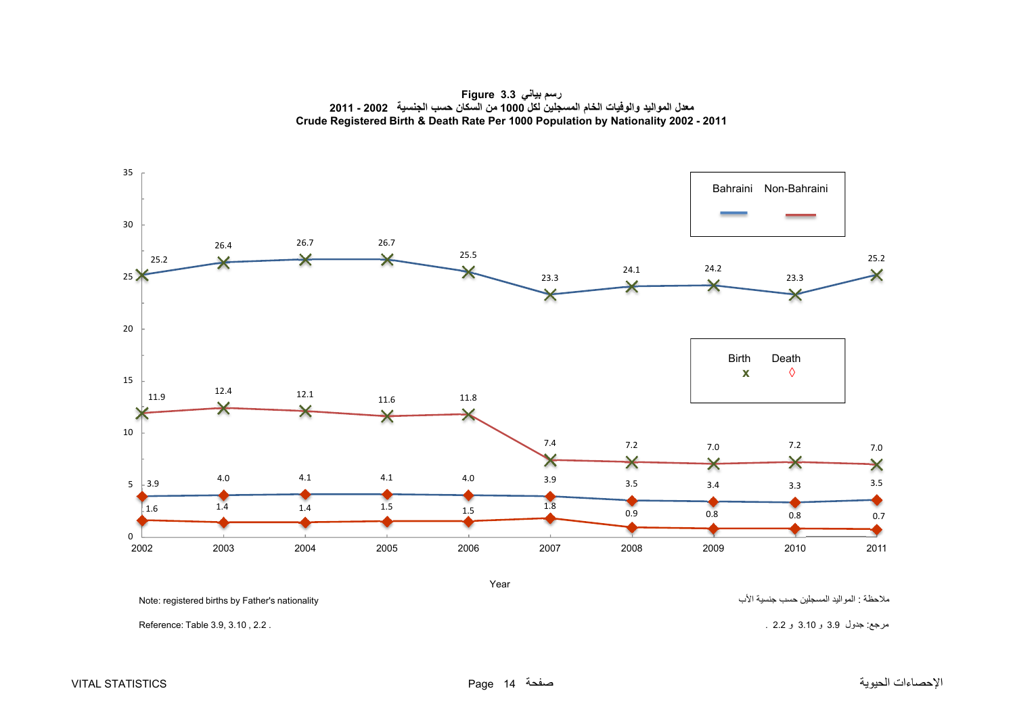**رسم بياني 3.3 Figure معدل المواليد والوفيات الخام المسجلين لكل <sup>1000</sup> من السكان حسب الجنسية 2002 - <sup>2011</sup> Crude Registered Birth & Death Rate Per 1000 Population by Nationality 2002 - 2011**

<span id="page-13-0"></span>

ملاحظة : المواليد المسجلين حسب جنسية الأب جنسية الأسبطيين حسب المسجلين حسب المسجلين حسب المسجلين حسب المسجلين حسب المسجلين حسب المسجلين حسب المسجلين حسب المسجلين حسب المسجلين حسب المسجلين حسب المسجلين المسجلين المسجلين ال

مرجع: جدول 3.9 <sup>و</sup> 3.10 <sup>و</sup> 2.2 . . 2.2 , 3.10 3.9, Table :Reference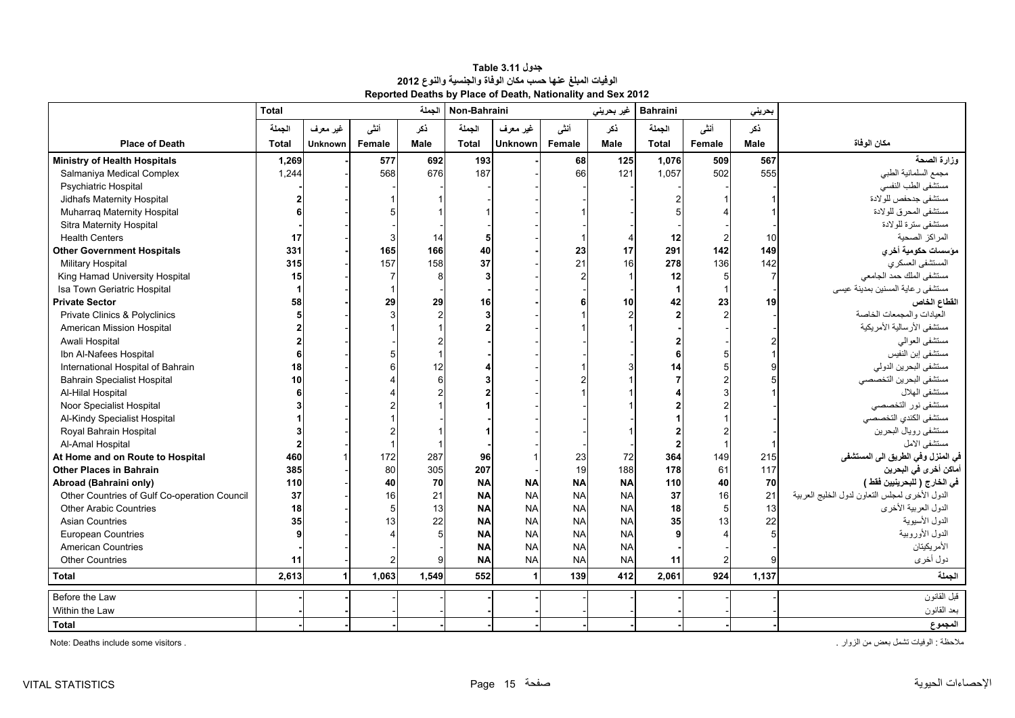<span id="page-14-0"></span>

|                                              | <b>Total</b>             |                |                | الجملة | Non-Bahraini |                |           | غير بحريني  | <b>Bahraini</b><br>بحريني |        |             |                                                |
|----------------------------------------------|--------------------------|----------------|----------------|--------|--------------|----------------|-----------|-------------|---------------------------|--------|-------------|------------------------------------------------|
|                                              | الجملة                   | غیر معرف       | أننى           | نكر    | الجملة       | غير معرف       | أننى      | نكر         | الجملة                    | أنشى   | نكر         |                                                |
| <b>Place of Death</b>                        | <b>Total</b>             | <b>Unknown</b> | Female         | Male   | <b>Total</b> | <b>Unknown</b> | Female    | <b>Male</b> | <b>Total</b>              | Female | <b>Male</b> | مكان الوفاة                                    |
| <b>Ministry of Health Hospitals</b>          | 1,269                    |                | 577            | 692    | 193          |                | 68        | 125         | 1,076                     | 509    | 567         | وزارة الصحة                                    |
| Salmaniya Medical Complex                    | 1,244                    |                | 568            | 676    | 187          |                | 66        | 121         | 1.057                     | 502    | 555         | مجمع السلمانية الطبي                           |
| Psychiatric Hospital                         |                          |                |                |        |              |                |           |             |                           |        |             | مستشفى الطب النفسى                             |
| Jidhafs Maternity Hospital                   |                          |                |                |        |              |                |           |             |                           |        |             | مستشفى جدحفص للولادة                           |
| Muharraq Maternity Hospital                  |                          |                |                |        |              |                |           |             |                           |        |             | مستشفى المحرق للولادة                          |
| Sitra Maternity Hospital                     |                          |                |                |        |              |                |           |             |                           |        |             | مستشفى ستر ة للو لادة                          |
| <b>Health Centers</b>                        | 17                       |                |                | 14     |              |                |           |             | 12                        |        | 10          | المراكز الصحية                                 |
| <b>Other Government Hospitals</b>            | 331                      |                | 165            | 166    | 40           |                | 23        | 17          | 291                       | 142    | 149         | مؤسسات حكومية أخر ي                            |
| <b>Military Hospital</b>                     | 315                      |                | 157            | 158    | 37           |                | 21        | 16          | 278                       | 136    | 142         | المستشفى العسكري                               |
| King Hamad University Hospital               | 15                       |                |                |        |              |                |           |             | 12                        |        | -7          | مستشفى الملك حمد الجامعي                       |
| Isa Town Geriatric Hospital                  | $\overline{\phantom{a}}$ |                |                |        |              |                |           |             |                           |        |             | مستشفى رعاية المسنين بمدينة عيسى               |
| <b>Private Sector</b>                        | 58                       |                | 29             | 29     | 16           |                |           | 10          | 42                        | 23     | 19          | القطاع الخاص                                   |
| Private Clinics & Polyclinics                |                          |                |                |        |              |                |           |             |                           |        |             | العبادات والمجمعات الخاصبة                     |
| American Mission Hospital                    |                          |                |                |        |              |                |           |             |                           |        |             | مستشفى الأرسالية الأمريكية                     |
| Awali Hospital                               |                          |                |                |        |              |                |           |             |                           |        |             | مستشفى العوالي                                 |
| Ibn Al-Nafees Hospital                       |                          |                |                |        |              |                |           |             |                           |        |             | مستشفى إبن النفيس                              |
| International Hospital of Bahrain            | 18                       |                |                | 12     |              |                |           |             |                           |        |             | مستشفى البحرين الدولمي                         |
| <b>Bahrain Specialist Hospital</b>           | 10                       |                |                |        |              |                |           |             |                           |        |             | مستشفى البحرين التخصصي                         |
| Al-Hilal Hospital                            |                          |                |                |        |              |                |           |             |                           |        |             | مستشفى الهلال                                  |
| Noor Specialist Hospital                     |                          |                |                |        |              |                |           |             |                           |        |             | مستشفى نور التخصصي                             |
| Al-Kindy Specialist Hospital                 |                          |                |                |        |              |                |           |             |                           |        |             | مستشفى الكندى التخصصىي                         |
| Royal Bahrain Hospital                       |                          |                |                |        |              |                |           |             |                           |        |             | مستشفى رويال البحرين                           |
| Al-Amal Hospital                             |                          |                |                |        |              |                |           |             |                           |        |             | مستشفى الامل                                   |
| At Home and on Route to Hospital             | 460                      |                | 172            | 287    | 96           |                | 23        | 72          | 364                       | 149    | 215         | في المنزل وفي الطريق الى المستشفى              |
| <b>Other Places in Bahrain</b>               | 385                      |                | 80             | 305    | 207          |                | 19        | 188         | 178                       | 61     | 117         | أماكن أخر ى في البحرين                         |
| Abroad (Bahraini only)                       | 110                      |                | 40             | 70     | <b>NA</b>    | <b>NA</b>      | <b>NA</b> | <b>NA</b>   | 110                       | 40     | 70          | في الخارج ( للبحرينيين فقط )                   |
| Other Countries of Gulf Co-operation Council | 37                       |                | 16             | 21     | <b>NA</b>    | <b>NA</b>      | <b>NA</b> | <b>NA</b>   | 37                        | 16     | 21          | الدول الأخرى لمجلس التعاون لدول الخليج العربية |
| <b>Other Arabic Countries</b>                | 18                       |                | 5 <sub>5</sub> | 13     | <b>NA</b>    | <b>NA</b>      | <b>NA</b> | <b>NA</b>   | 18                        |        | 13          | الدول العر بية الأخر ي                         |
| <b>Asian Countries</b>                       | 35                       |                | 13             | 22     | <b>NA</b>    | <b>NA</b>      | <b>NA</b> | <b>NA</b>   | 35                        | 13     | 22          | الدول الأسبوية                                 |
| <b>European Countries</b>                    |                          |                |                |        | <b>NA</b>    | <b>NA</b>      | <b>NA</b> | <b>NA</b>   |                           |        |             | الدول الأوروبية                                |
| <b>American Countries</b>                    |                          |                |                |        | <b>NA</b>    | <b>NA</b>      | <b>NA</b> | <b>NA</b>   |                           |        |             | الأمريكيتان                                    |
| <b>Other Countries</b>                       | 11                       |                |                |        | <b>NA</b>    | <b>NA</b>      | <b>NA</b> | <b>NA</b>   | 11                        |        |             | دول أخرى                                       |
| <b>Total</b>                                 | 2,613                    |                | 1,063          | 1,549  | 552          |                | 139       | 412         | 2,061                     | 924    | 1,137       | الحملة                                         |
| Before the Law                               |                          |                |                |        |              |                |           |             |                           |        |             | قبل القانون                                    |
| Within the Law                               |                          |                |                |        |              |                |           |             |                           |        |             | بعد القانون                                    |
| <b>Total</b>                                 |                          |                |                |        |              |                |           |             |                           |        |             | المجموع                                        |

### **جدول 3.11 Table الوفيات المبلغ عنھا حسب مكان الوفاة والجنسية والنوع <sup>2012</sup> Reported Deaths by Place of Death, Nationality and Sex 2012**

مالحظة : الوفيات تشمل بعض من الزوار . . visitors some include Deaths :Note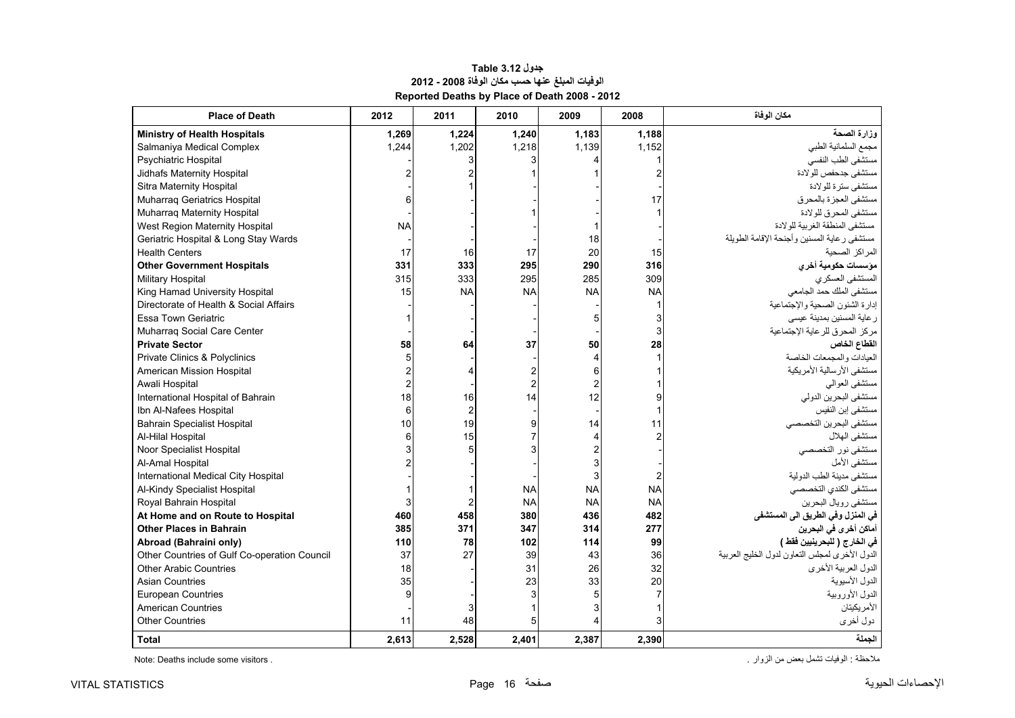# **جدول 3.12 Table الوفيات المبلغ عنھا حسب مكان الوفاة 2008 - 2012 Reported Deaths by Place of Death 2008 - 2012**

<span id="page-15-0"></span>

| <b>Place of Death</b>                        | 2012      | 2011      | 2010      | 2009      | 2008      | مكان الوفاة                                    |
|----------------------------------------------|-----------|-----------|-----------|-----------|-----------|------------------------------------------------|
| <b>Ministry of Health Hospitals</b>          | 1,269     | 1,224     | 1,240     | 1,183     | 1,188     | وزارة الصحة                                    |
| Salmaniya Medical Complex                    | 1,244     | 1,202     | 1,218     | 1,139     | 1,152     | مجمع السلمانية الطبي                           |
| Psychiatric Hospital                         |           |           |           |           |           | مستشفى الطب النفسى                             |
| Jidhafs Maternity Hospital                   |           |           |           |           |           | مستشفى جدحفص للولادة                           |
| Sitra Maternity Hospital                     |           |           |           |           |           | مستشفى سترة للولادة                            |
| Muharraq Geriatrics Hospital                 |           |           |           |           | 17        | مستشفى العجزة بالمحرق                          |
| Muharraq Maternity Hospital                  |           |           |           |           |           | مستشفى المحرق للولادة                          |
| West Region Maternity Hospital               | <b>NA</b> |           |           |           |           | مستشفى المنطقة الغربية للولادة                 |
| Geriatric Hospital & Long Stay Wards         |           |           |           | 18        |           | مستشفى رعاية المسنين وأجنحة الإقامة الطويلة    |
| <b>Health Centers</b>                        | 17        | 16        | 17        | 20        | 15        | المر اكز الصحية                                |
| <b>Other Government Hospitals</b>            | 331       | 333       | 295       | 290       | 316       | مؤسسات حكومية أخرى                             |
| Military Hospital                            | 315       | 333       | 295       | 285       | 309       | المستشفى العسكري                               |
| King Hamad University Hospital               | 15        | <b>NA</b> | <b>NA</b> | <b>NA</b> | <b>NA</b> | مستشفى الملك حمد الجامعي                       |
| Directorate of Health & Social Affairs       |           |           |           |           |           | إدارة الشئون الصحية والإجتماعية                |
| <b>Essa Town Geriatric</b>                   |           |           |           |           | 3         | ر عاية المسنين بمدينة عيسى                     |
| Muharraq Social Care Center                  |           |           |           |           | 3         | مركز المحرق للرعاية الإجتماعية                 |
| <b>Private Sector</b>                        | 58        | 64        | 37        | 50        | 28        | القطاع الخاص                                   |
| Private Clinics & Polyclinics                |           |           |           |           |           | العبادات والمجمعات الخاصبة                     |
| American Mission Hospital                    |           |           |           |           |           | مستشفى الأرسالية الأمريكية                     |
| Awali Hospital                               |           |           |           |           |           | مستشفى العوالى                                 |
| International Hospital of Bahrain            | 18        | 16        | 14        | 12        | 9         | مستشفى البحرين الدولي                          |
| Ibn Al-Nafees Hospital                       | 6         |           |           |           | 1         | مستشفى إبن النفيس                              |
| <b>Bahrain Specialist Hospital</b>           | 10        | 19        | g         | 14        | 11        | مستشفى البحرين التخصصي                         |
| Al-Hilal Hospital                            |           | 15        |           |           |           | مستشفى الهلال                                  |
| Noor Specialist Hospital                     |           |           |           |           |           | مستشفى نور التخصصي                             |
| Al-Amal Hospital                             |           |           |           |           |           | مستشفى الأمل                                   |
| International Medical City Hospital          |           |           |           |           | 2         | مستشفى مدينة الطب الدولية                      |
| Al-Kindy Specialist Hospital                 |           |           | <b>NA</b> | <b>NA</b> | <b>NA</b> | مستشفى الكندي التخصصي                          |
| Royal Bahrain Hospital                       |           |           | <b>NA</b> | <b>NA</b> | <b>NA</b> | مستشفى رويال البحرين                           |
| At Home and on Route to Hospital             | 460       | 458       | 380       | 436       | 482       | في المنزل وفي الطريق الى المستشفى              |
| <b>Other Places in Bahrain</b>               | 385       | 371       | 347       | 314       | 277       | أماكن أخرى في البحرين                          |
| Abroad (Bahraini only)                       | 110       | 78        | 102       | 114       | 99        | في الخارج ( للبحرينيين فقط )                   |
| Other Countries of Gulf Co-operation Council | 37        | 27        | 39        | 43        | 36        | الدول الأخرى لمجلس التعاون لدول الخليج العربية |
| <b>Other Arabic Countries</b>                | 18        |           | 31        | 26        | 32        | الدول العر بية الأخر ي                         |
| <b>Asian Countries</b>                       | 35        |           | 23        | 33        | 20        | الدول الأسبوية                                 |
| <b>European Countries</b>                    |           |           |           |           |           | الدول الأوروبية                                |
| <b>American Countries</b>                    |           |           |           |           |           | الأمريكيتان                                    |
| <b>Other Countries</b>                       | 11        | 48        |           |           | 3         | دول أخرى                                       |
| Total                                        | 2,613     | 2,528     | 2,401     | 2,387     | 2,390     | الجملة                                         |

مالحظة : الوفيات تشمل بعض من الزوار . . visitors some include Deaths :Note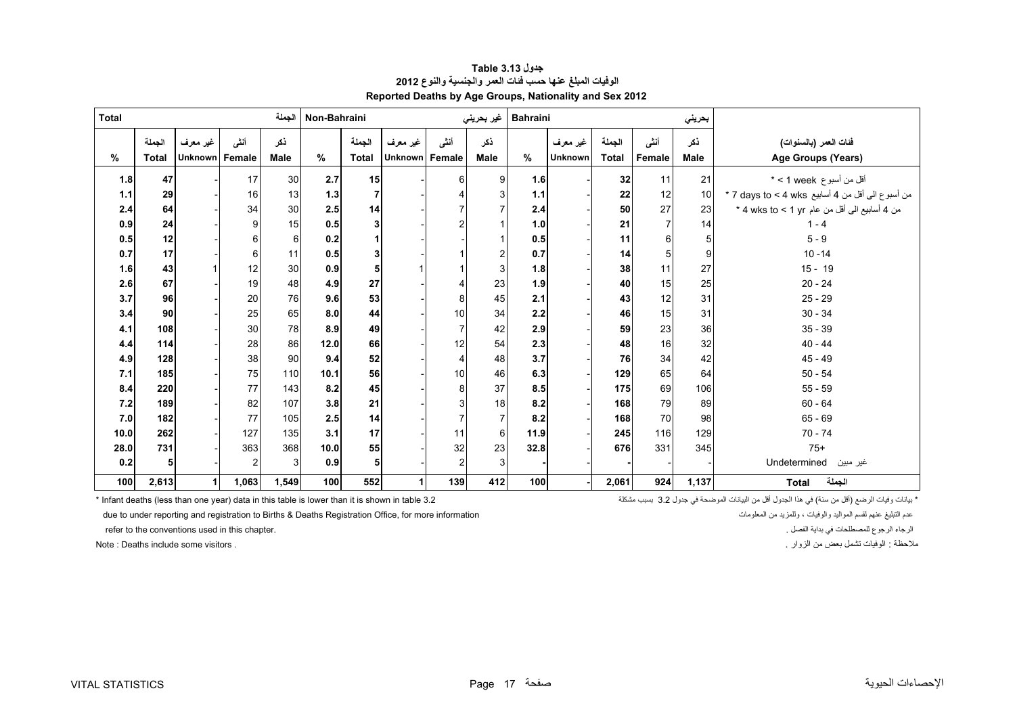<span id="page-16-0"></span>

| <b>Total</b> |                 |                            |                | الجملة             | Non-Bahraini |                        |                            |                | غير بحريني         | <b>Bahraini</b> |                            |                        |                | بحريني      |                                                  |
|--------------|-----------------|----------------------------|----------------|--------------------|--------------|------------------------|----------------------------|----------------|--------------------|-----------------|----------------------------|------------------------|----------------|-------------|--------------------------------------------------|
| %            | الجملة<br>Total | غیر معرف<br><b>Unknown</b> | أنشى<br>Female | ذكر<br><b>Male</b> | %            | الجملة<br><b>Total</b> | غير معرف<br><b>Unknown</b> | أنشى<br>Female | نكر<br><b>Male</b> | $\%$            | غير معرف<br><b>Unknown</b> | الجملة<br><b>Total</b> | أنشى<br>Female | ذكر<br>Male | فَنات العمر (بالسنوات)<br>Age Groups (Years)     |
| 1.8          | 47              |                            | 17             | 30                 | 2.7          | 15                     |                            | 6              | 9                  | 1.6             |                            | 32                     | 11             | 21          | أقل من أسبوع J week > *                          |
| 1.1          | 29              |                            | 16             | 13                 | 1.3          | 7                      |                            |                | 3                  | 1.1             |                            | 22                     | 12             | 10          | من أسبوع الى أقل من 4 أسابيع 7 days to < 4 wks * |
| 2.4          | 64              |                            | 34             | 30                 | 2.5          | 14                     |                            |                |                    | 2.4             |                            | 50                     | 27             | 23          | من 4 أسابيع الى أقل من عام 4 wks to < 1 yr *     |
| 0.9          | 24              |                            | 9              | 15                 | 0.5          |                        |                            |                |                    | 1.0             |                            | 21                     | $\overline{7}$ | 14          | $1 - 4$                                          |
| 0.5          | 12              |                            | 6              | 6                  | 0.2          |                        |                            |                |                    | 0.5             |                            | 11                     | 6              |             | $5 - 9$                                          |
| 0.7          | 17              |                            | 6              | 11                 | 0.5          |                        |                            |                |                    | 0.7             |                            | 14                     | 5              |             | $10 - 14$                                        |
| 1.6          | 43 <sub>1</sub> |                            | 12             | 30                 | 0.9          |                        |                            |                | 3                  | 1.8             |                            | 38                     | 11             | 27          | $15 - 19$                                        |
| 2.6          | 67              |                            | 19             | 48                 | 4.9          | 27                     |                            |                | 23                 | 1.9             |                            | 40                     | 15             | 25          | $20 - 24$                                        |
| 3.7          | 96              |                            | 20             | 76                 | 9.6          | 53                     |                            | 8              | 45                 | 2.1             |                            | 43                     | 12             | 31          | $25 - 29$                                        |
| 3.4          | 90              |                            | 25             | 65                 | 8.0          | 44                     |                            | 10             | 34                 | 2.2             |                            | 46                     | 15             | 31          | $30 - 34$                                        |
| 4.1          | 108             |                            | 30             | 78                 | 8.9          | 49                     |                            | $\overline{7}$ | 42                 | 2.9             |                            | 59                     | 23             | 36          | $35 - 39$                                        |
| 4.4          | 114             |                            | 28             | 86                 | 12.0         | 66                     |                            | 12             | 54                 | 2.3             |                            | 48                     | 16             | 32          | $40 - 44$                                        |
| 4.9          | 128             |                            | 38             | 90                 | 9.4          | 52                     |                            |                | 48                 | 3.7             |                            | 76                     | 34             | 42          | $45 - 49$                                        |
| 7.1          | 185             |                            | 75             | 110                | 10.1         | 56                     |                            | 10             | 46                 | 6.3             |                            | 129                    | 65             | 64          | $50 - 54$                                        |
| 8.4          | 220             |                            | 77             | 143                | 8.2          | 45                     |                            | 8              | 37                 | 8.5             |                            | <b>175</b>             | 69             | 106         | $55 - 59$                                        |
| 7.2          | 189             |                            | 82             | 107                | 3.8          | 21                     |                            | 3              | 18                 | 8.2             |                            | 168                    | 79             | 89          | $60 - 64$                                        |
| 7.0          | 182             |                            | 77             | 105                | 2.5          | 14                     |                            |                |                    | 8.2             |                            | 168                    | 70             | 98          | $65 - 69$                                        |
| 10.0         | 262             |                            | 127            | 135                | 3.1          | 17                     |                            | 11             | 6                  | 11.9            |                            | 245                    | 116            | 129         | $70 - 74$                                        |
| 28.0         | 731             |                            | 363            | 368                | 10.0         | 55                     |                            | 32             | 23                 | 32.8            |                            | 676                    | 331            | 345         | $75+$                                            |
| 0.2          | 5               |                            | 2              | 3                  | 0.9          | 5                      |                            | 2              | 3                  |                 |                            |                        |                |             | Undetermined<br>غير مبين                         |
| 100          | 2,613           | $\mathbf{1}$               | 1,063          | 1,549              | 100          | 552                    |                            | 139            | 412                | 100             |                            | 2,061                  | 924            | 1,137       | الجملة<br><b>Total</b>                           |

#### **جدول 3.13 Table الوفيات المبلغ عنھا حسب فئات العمر والجنسية والنوع <sup>2012</sup> Reported Deaths by Age Groups, Nationality and Sex 2012**

\* الجنس بن الجائف من سنة) في هذا الجدول أقل من البيانات الموضحة في جدول 3.2 بسبب مشكلة من البيانات الموضحة في جدول 3.2 بسبب مشكلة من البيانات الموضحة في جدول 3.2 بسبب مشكلة " Infant deaths (less than one year) data in thi

due to under reporting and registration to Births & Deaths Registration Office, for more information المعلومات من وللمزيد ، والوفيات المواليد لقسم عنھم التبليغ عدم

الرجاء الرجوع للمصطلحات في بداية الفصل .<br>الفصل بداية في المصطلحات المسلحات المسلحات المسلحات المسلحات المسلحات المسلحات المسلحات المسلحات المسلحات المس

مالحظة : الوفيات تشمل بعض من الزوار . . visitors some include Deaths : Note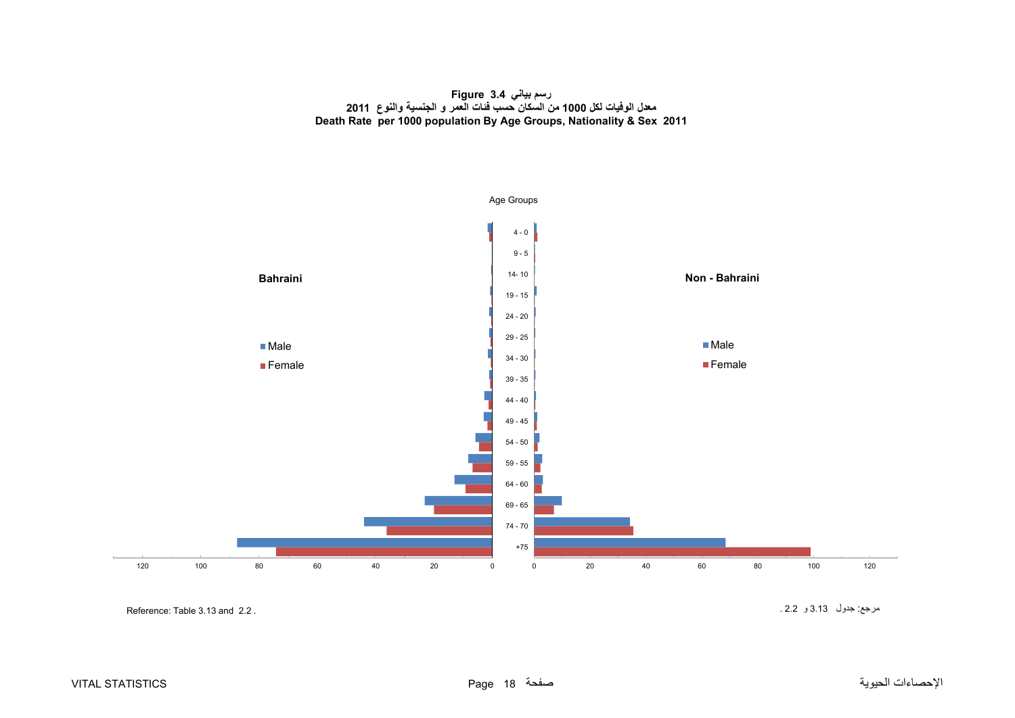#### **رسم بياني 3.4 Figure معدل الوفيات لكل <sup>1000</sup> من السكان حسب فئات العمر <sup>و</sup> الجنسية والنوع <sup>2011</sup> Death Rate per 1000 population By Age Groups, Nationality & Sex 2011**

<span id="page-17-0"></span>

مرجع: جدول 3.13 <sup>و</sup> 2.2 . . 2.2 and 3.13 Table :Reference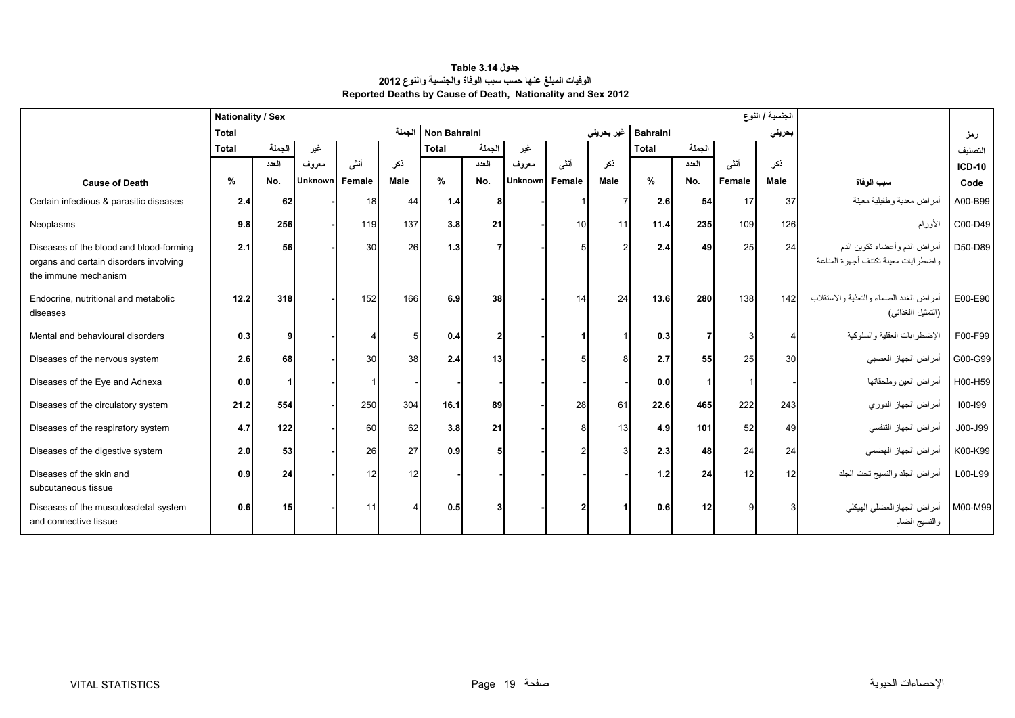<span id="page-18-0"></span>

|                                                                                                           | Nationality / Sex |        |         |        |        |                     |        |                |        |            |                 |        |          | الجنسية / النوع |                                                                     |               |
|-----------------------------------------------------------------------------------------------------------|-------------------|--------|---------|--------|--------|---------------------|--------|----------------|--------|------------|-----------------|--------|----------|-----------------|---------------------------------------------------------------------|---------------|
|                                                                                                           | <b>Total</b>      |        |         |        | الجملة | <b>Non Bahraini</b> |        |                |        | غير بحريني | <b>Bahraini</b> |        |          | بحريني          |                                                                     | رمز           |
|                                                                                                           | <b>Total</b>      | الجملة | غير     |        |        | <b>Total</b>        | الجملة | غير            |        |            | <b>Total</b>    | الجملة |          |                 |                                                                     | التصنيف       |
|                                                                                                           |                   | العدد  | معروف   | أنشى   | ذكر    |                     | العدد  | معروف          | أنشى   | ذكر        |                 | العدد  | أنشى     | ذكر             |                                                                     | <b>ICD-10</b> |
| <b>Cause of Death</b>                                                                                     | $\frac{9}{6}$     | No.    | Unknown | Female | Male   | %                   | No.    | <b>Unknown</b> | Female | Male       | %               | No.    | Female   | Male            | سبب الوفاة                                                          | Code          |
| Certain infectious & parasitic diseases                                                                   | 2.4               | 62     |         | 18     | 44     | 1.4                 | 8      |                |        |            | 2.6             | 54     | 17       | 37              | أمراض معدية وطفيلية معينة                                           | A00-B99       |
| Neoplasms                                                                                                 | 9.8               | 256    |         | 119    | 137    | 3.8                 | 21     |                | 10     | 11         | 11.4            | 235    | 109      | 126             | الأورام                                                             | C00-D49       |
| Diseases of the blood and blood-forming<br>organs and certain disorders involving<br>the immune mechanism | 2.1               | 56     |         | 30     | 26     | 1.3                 |        |                |        |            | 2.4             | 49     | 25       | 24              | أمراض الدم وأعضاء تكوين الدم<br>واضطرابات معينة تكتنف أجهزة المناعة | D50-D89       |
| Endocrine, nutritional and metabolic<br>diseases                                                          | 12.2              | 318    |         | 152    | 166    | 6.9                 | 38     |                | 14     | 24         | 13.6            | 280    | 138      | 142             | أمراض الغدد الصماء والتغذية والاستقلاب<br>(التمثيل االغذائي)        | E00-E90       |
| Mental and behavioural disorders                                                                          | 0.3               | 9      |         |        |        | 0.4                 | 2      |                |        |            | 0.3             |        | 3        |                 | الإضطرابات العقلية والسلوكية                                        | F00-F99       |
| Diseases of the nervous system                                                                            | 2.6               | 68     |         | 30     | 38     | 2.4                 | 13     |                |        | R          | 2.7             | 55     | 25       | 30              | أمراض الجهاز العصبي                                                 | G00-G99       |
| Diseases of the Eye and Adnexa                                                                            | 0.0               | 1      |         |        |        |                     |        |                |        |            | 0.0             |        |          |                 | أمراض العين وملحقاتها                                               | H00-H59       |
| Diseases of the circulatory system                                                                        | 21.2              | 554    |         | 250    | 304    | 16.1                | 89     |                | 28     | 61         | 22.6            | 465    | 222      | 243             | أمراض الجهاز الدوري                                                 | 100-199       |
| Diseases of the respiratory system                                                                        | 4.7               | 122    |         | 60     | 62     | 3.8                 | 21     |                | 8      | 13         | 4.9             | 101    | 52       | 49              | أمراض الجهاز التنفسي                                                | J00-J99       |
| Diseases of the digestive system                                                                          | 2.0               | 53     |         | 26     | 27     | 0.9                 |        |                |        |            | 2.3             | 48     | 24       | 24              | أمراض الجهاز الهضمى                                                 | K00-K99       |
| Diseases of the skin and<br>subcutaneous tissue                                                           | 0.9               | 24     |         | 12     | 12     |                     |        |                |        |            | 1.2             | 24     | 12       | 12              | أمراض الجلد والنسيج تحت الجلد                                       | L00-L99       |
| Diseases of the musculoscletal system<br>and connective tissue                                            | 0.6               | 15     |         | 11     |        | 0.5                 |        |                |        |            | 0.6             | 12     | $\Omega$ |                 | M00-M99   أمر اض الجهاز العضلي الهيكلي<br>والنسيج الضام             |               |

### **جدول 3.14 Table الوفيات المبلغ عنھا حسب سبب الوفاة والجنسية والنوع <sup>2012</sup> Reported Deaths by Cause of Death, Nationality and Sex 2012**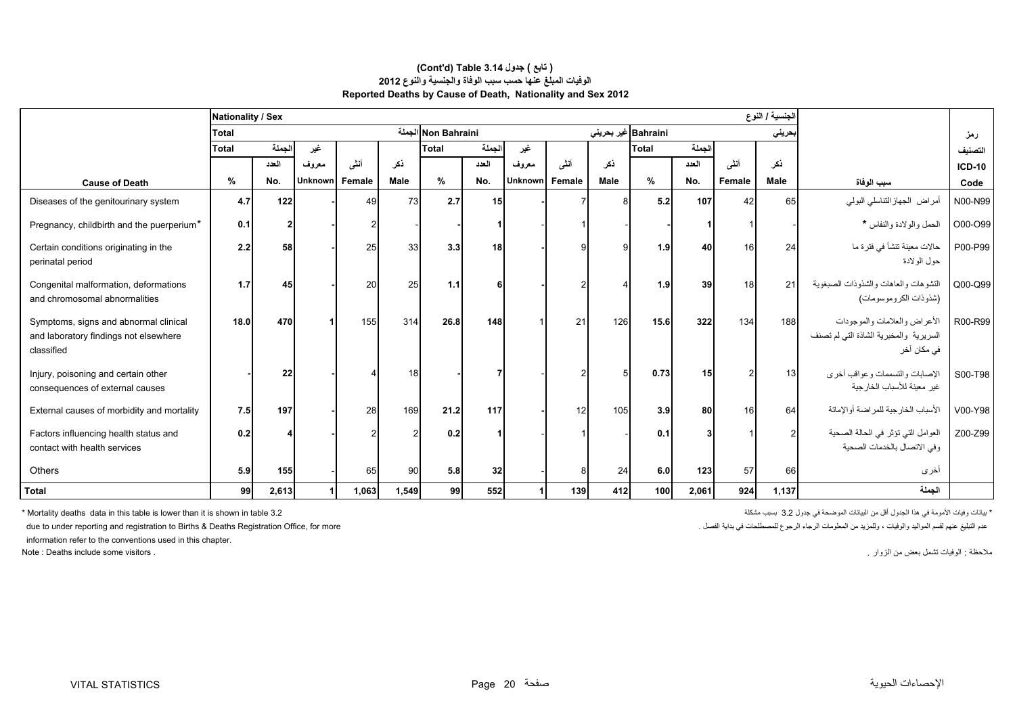#### **Reported Deaths by Cause of Death, Nationality and Sex 2012 (Cont'd) Table 3.14 جدول ) تابع( الوفيات المبلغ عنھا حسب سبب الوفاة والجنسية والنوع <sup>2012</sup>**

|                                                                                              | <b>Nationality / Sex</b> |                         |                |        |             |                     |        |       |                |      |                     |        |               | الجنسية / النوع |                                                                                       |               |
|----------------------------------------------------------------------------------------------|--------------------------|-------------------------|----------------|--------|-------------|---------------------|--------|-------|----------------|------|---------------------|--------|---------------|-----------------|---------------------------------------------------------------------------------------|---------------|
|                                                                                              | Total                    |                         |                |        |             | Non Bahraini الجملة |        |       |                |      | Bahraini غیر بحرینی |        |               | بحريني          |                                                                                       | رمز           |
|                                                                                              | Total                    | الجملة                  | غير            |        |             | Total               | الجملة | غير   |                |      | Total               | الجملة |               |                 |                                                                                       | التصنيف       |
|                                                                                              |                          | العدد                   | معروف          | أنشى   | ذكر         |                     | العدد  | معروف | أنشى           | ذكر  |                     | العدد  | أنشى          | ذكر             |                                                                                       | <b>ICD-10</b> |
| <b>Cause of Death</b>                                                                        | %                        | No.                     | <b>Unknown</b> | Female | <b>Male</b> | %                   | No.    |       | Unknown Female | Male | %                   | No.    | Female        | Male            | سبب الوفاة                                                                            | Code          |
| Diseases of the genitourinary system                                                         | 4.7                      | 122                     |                | 49     | 73          | 2.7                 | 15     |       |                | 8    | 5.2                 | 107    | 42            | 65              | أمراض الجهاز التناسلي البولي                                                          | N00-N99       |
| Pregnancy, childbirth and the puerperium*                                                    | 0.1                      | $\overline{\mathbf{2}}$ |                |        |             |                     |        |       |                |      |                     |        |               |                 | الحمل والولادة والنفاس *                                                              | O00-O99       |
| Certain conditions originating in the<br>perinatal period                                    | 2.2                      | 58                      |                | 25     | 33          | 3.3                 | 18     |       | C              | 9    | 1.9                 | 40     | 16            | 24              | حالات معينة تتشأ في فترة ما<br>حول الو لادة                                           | P00-P99       |
| Congenital malformation, deformations<br>and chromosomal abnormalities                       | 1.7                      | 45                      |                | 20     | 25          | 1.1                 |        |       |                |      | 1.9                 | 39     | 18            | 21              | التشوهات والعاهات والشذوذات الصبغوية<br>(شذوذات الكروموسومات)                         | Q00-Q99       |
| Symptoms, signs and abnormal clinical<br>and laboratory findings not elsewhere<br>classified | 18.0                     | 470                     |                | 155    | 314         | 26.8                | 148    |       | 21             | 126  | 15.6                | 322    | 134           | 188             | الأعراض والعلامات والموجودات<br>السريرية والمخبرية الشاذة التى لم تصنف<br>في مكان آخر | R00-R99       |
| Injury, poisoning and certain other<br>consequences of external causes                       |                          | 22                      |                |        | 18          |                     |        |       |                | 5    | 0.73                | 15     | $\mathcal{P}$ | 13 <sup>1</sup> | الإصابات والتسممات و عواقب أخر ي<br>غبر معبنة للأسباب الخار جبة                       | S00-T98       |
| External causes of morbidity and mortality                                                   | 7.5                      | 197                     |                | 28     | 169         | 21.2                | 117    |       | 12             | 105  | 3.9                 | 80     | 16            | 64              | الأسباب الخارجية للمراضة أوالإماتة                                                    | V00-Y98       |
| Factors influencing health status and<br>contact with health services                        | 0.2                      |                         |                |        |             | 0.2                 |        |       |                |      | 0.1                 |        |               |                 | العوامل التي تؤثر في الحالة الصحية<br>وفي الاتصال بالخدمات الصحية                     | Z00-Z99       |
| Others                                                                                       | 5.9                      | 155                     |                | 65     | 90          | 5.8                 | 32     |       | 8              | 24   | 6.0                 | 123    | 57            | 66              | أخرى                                                                                  |               |
| <b>Total</b>                                                                                 | 99                       | 2,613                   |                | 1,063  | 1,549       | 99                  | 552    |       | 139            | 412  | 100                 | 2,061  | 924           | 1,137           | الجملة                                                                                |               |

عدم التبليغ عنهم لقسم المواليد والوفيات ، وللمزيد من المعلومات الرجاء الرجوع للمصطلحات في بداية الفصل . due to under reporting and registration to Births & Deaths Registration Office, for more

information refer to the conventions used in this chapter.

\* بيانات وفيات الأمومة في هذا الجدول أقل من البيانات الموضحة في جدول 3.2 بسبب مشكلة 3.2 بسبب مشكلة 3.2 بسبب مشكلة 3.2 بسبب مشكلة كانت الموضحة في جدول 3.2 بسبب مشكلة كانت الموضحة في جدول 3.2 بسبب مشكلة كانت الموضحة في جدول

مالحظة : الوفيات تشمل بعض من الزوار . . visitors some include Deaths : Note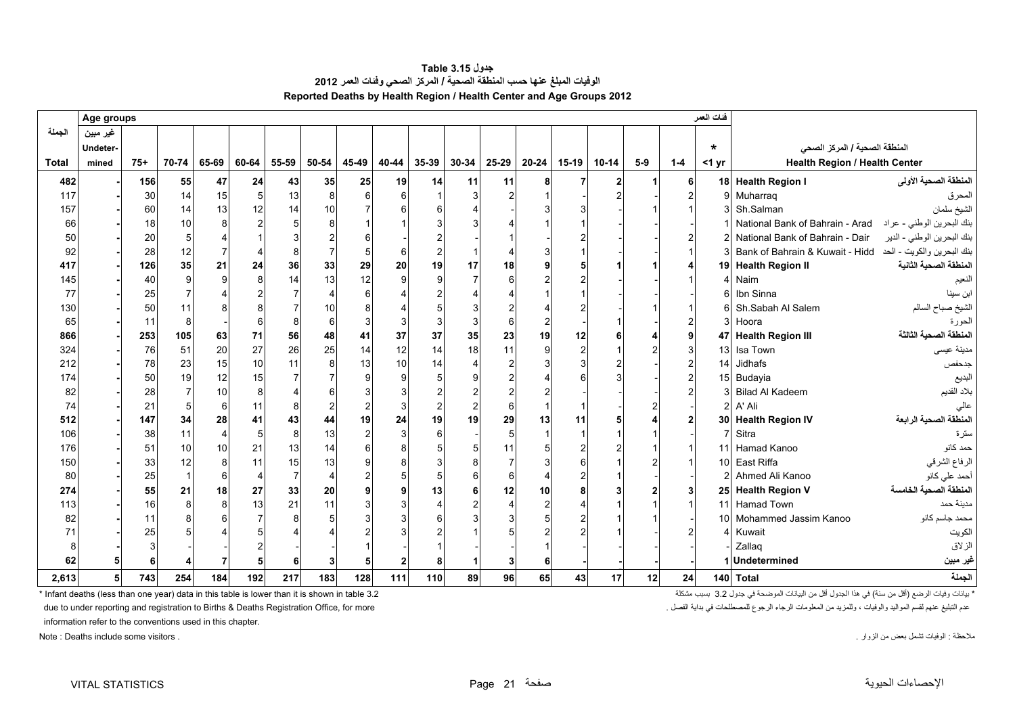<span id="page-20-0"></span>

|              | Age groups |       |                |                 |       |                |       |                |       |       |                |       |       |         |           |       |                | فنات العمر |                                                            |                            |
|--------------|------------|-------|----------------|-----------------|-------|----------------|-------|----------------|-------|-------|----------------|-------|-------|---------|-----------|-------|----------------|------------|------------------------------------------------------------|----------------------------|
| الحملة       | غير مبين   |       |                |                 |       |                |       |                |       |       |                |       |       |         |           |       |                |            |                                                            |                            |
|              | Undeter-   |       |                |                 |       |                |       |                |       |       |                |       |       |         |           |       |                | $\star$    | المنطقة الصحية / المركز الصحي                              |                            |
| <b>Total</b> | mined      | $75+$ | 70-74          | 65-69           | 60-64 | 55-59          | 50-54 | 45-49          | 40-44 | 35-39 | $30 - 34$      | 25-29 | 20-24 | $15-19$ | $10 - 14$ | $5-9$ | $1 - 4$        | $<$ 1 yr   | <b>Health Region / Health Center</b>                       |                            |
| 482          |            | 156   | 55             | 47              | 24    | 43             | 35    | 25             | 19    | 14    | 11             | 11    | 8     |         | 2         |       | 6              |            | 18 Health Region I                                         | المنطقة الصحية الأولى      |
| 117          |            | 30    | 14             | 15              | 5     | 13             | 8     | 6              | 6     |       | 3              |       |       |         |           |       | $\overline{2}$ |            | 9 Muharraq                                                 | المحرق                     |
| 157          |            | 60    | 14             | 13              | 12    | 14             | 10    | $\overline{7}$ | 6     |       |                |       |       |         |           |       |                |            | 3 Sh.Salman                                                | الشيخ سلمان                |
| 66           |            | 18    | 10             | 8               |       |                |       |                |       |       |                |       |       |         |           |       |                |            | National Bank of Bahrain - Arad                            | بنك البحرين الوطني - عراد  |
| 50           |            | 20    | 5 <sup>5</sup> |                 |       |                |       | 6              |       |       |                |       |       |         |           |       |                |            | National Bank of Bahrain - Dair                            | بنك البحرين الوطني - الدير |
| 92           |            | 28    | 12             | $\overline{7}$  |       |                |       | 5              | 6     |       |                |       |       |         |           |       |                |            | بنك البحرين والكويت - الحد Bank of Bahrain & Kuwait - Hidd |                            |
| 417          |            | 126   | 35             | 21              | 24    | 36             | 33    | 29             | 20    | 19    | 17             | 18    |       |         |           |       |                |            | 19 Health Region II                                        | المنطقة الصحية الثانية     |
| 145          |            | 40    | 9              | 9               | 8     | 14             | 13    | 12             | 9     |       | $\overline{7}$ |       |       |         |           |       |                |            | 4 Naim                                                     | النعيم                     |
| 77           |            | 25    |                |                 |       |                |       | 6              |       |       |                |       |       |         |           |       |                |            | Ibn Sinna                                                  | ابن سينا                   |
| 130          |            | 50    | 11             | 8               |       |                | 10    | 8              |       |       |                |       |       |         |           |       |                |            | Sh.Sabah Al Salem                                          | الشيخ صباح السالم          |
| 65           |            | 11    | 8              |                 |       | 8              | 6     | 3              |       |       | 3              |       |       |         |           |       |                |            | Hoora                                                      | الحورة                     |
| 866          |            | 253   | 105            | 63              | 71    | 56             | 48    | 41             | 37    | 37    | 35             | 23    | 19    | 12      |           |       | 9              |            | 47 Health Region III                                       | المنطقة الصحية الثالثة     |
| 324          |            | 76    | 51             | 20              | 27    | 26             | 25    | 14             | 12    | 14    | 18             | 11    |       |         |           |       | 3              | 13         | Isa Town                                                   | مدينة عيسى                 |
| 212          |            | 78    | 23             | 15              | 10    | 11             |       | 13             | 10    | 14    | $\Delta$       | 2     |       |         |           |       | $\overline{2}$ | 14         | <b>Jidhafs</b>                                             | جدحفص                      |
| 174          |            | 50    | 19             | 12              | 15    |                |       | 9              | q     |       | $\mathbf{Q}$   |       |       |         |           |       | $\overline{a}$ |            | 15 Budayia                                                 | البديع                     |
| 82           |            | 28    | $\overline{7}$ | 10              |       |                |       | 3              |       |       |                |       |       |         |           |       | $\mathcal{P}$  |            | 3 Bilad Al Kadeem                                          | بلاد القديم                |
| 74           |            | 21    | 5              | $6\phantom{1}6$ | 11    | 8              |       | $\overline{2}$ |       |       | $\overline{2}$ | 6     |       |         |           |       |                |            | 2 A' Ali                                                   |                            |
| 512          |            | 147   | 34             | 28              | 41    | 43             | 44    | 19             | 24    | 19    | 19             | 29    | 13    | 11      |           |       | $\overline{2}$ |            | 30 Health Region IV                                        | المنطقة الصحية الرابعة     |
| 106          |            | 38    | 11             | $\overline{4}$  | 5     | 8              | 13    | $\overline{2}$ |       |       |                | 5     |       |         |           |       |                |            | Sitra                                                      | سترة                       |
| 176          |            | 51    | 10             | 10              | 21    | 13             | 14    | 6              |       |       | 5              | 11    |       |         |           |       |                | 11         | Hamad Kanoo                                                | حمد كانو                   |
| 150          |            | 33    | 12             | 8               | 11    | 15             | 13    | 9              |       |       | 8              |       |       |         |           |       |                |            | 10 East Riffa                                              | الرفاع الشرقي              |
| 80           |            | 25    | $\overline{1}$ | $\,6\,$         |       | $\overline{7}$ |       | $\overline{2}$ |       |       | 6              | 6     |       |         |           |       |                |            | Ahmed Ali Kanoo                                            | أحمد على كانو              |
| 274          |            | 55    | 21             | 18              | 27    | 33             | 20    | 9              | q     | 13    | 6              | 12    | 10    |         |           |       | 3 <sup>1</sup> |            | 25 Health Region V                                         | المنطقة الصحية الخامسة     |
| 113          |            | 16    | 8              | 8               | 13    | 21             | 11    | 3              |       |       | $\mathfrak{p}$ |       |       |         |           |       |                | 11         | <b>Hamad Town</b>                                          | مدينة حمد                  |
| 82           |            | 11    | 8              | 6               |       |                |       |                |       |       |                |       |       |         |           |       |                |            | 10 Mohammed Jassim Kanoo                                   | محمد جاسم كانو             |
| 71           |            | 25    |                |                 |       |                |       |                |       |       |                |       |       |         |           |       | 2              |            | 4 Kuwait                                                   | الكويت                     |
| 8            |            |       |                |                 |       |                |       |                |       |       |                |       |       |         |           |       |                |            | Zallag                                                     | الزلاق                     |
| 62           |            | 6     |                |                 |       |                |       |                |       |       |                |       |       |         |           |       |                |            | Undetermined                                               | غير مبين                   |
| 2,613        | 5          | 743   | 254            | 184             | 192   | 217            | 183   | 128            | 111   | 110   | 89             | 96    | 65    | 43      | 17        | 12    | 24             |            | 140 Total                                                  | الجملة                     |

**جدول 3.15 Table الوفيات المبلغ عنھا حسب المنطقة الصحية / المركز الصحي وفئات العمر <sup>2012</sup> Reported Deaths by Health Region / Health Center and Age Groups 2012**

\* Infant deaths (less than one year) data in this table is lower than it is shown in table 3.2 مشكلة بسبب مشكلة بسبب شكلة أقل من أقليانات الموضحة في جدول 3.2 يسبب مشكلة الجدول أقل من أقليانات الموضحة في جدول 3.2 يسبب مشكل

عدم التبليغ عنهم لقسم المواليد والوفيات ، وللمزيد من المعلومات الرجاء الرجوع للمصطلحات في بداية الفصل . due to under reporting and registration to Births & Deaths Registration Office, for more

information refer to the conventions used in this chapter.

مالحظة : الوفيات تشمل بعض من الزوار . . visitors some include Deaths : Note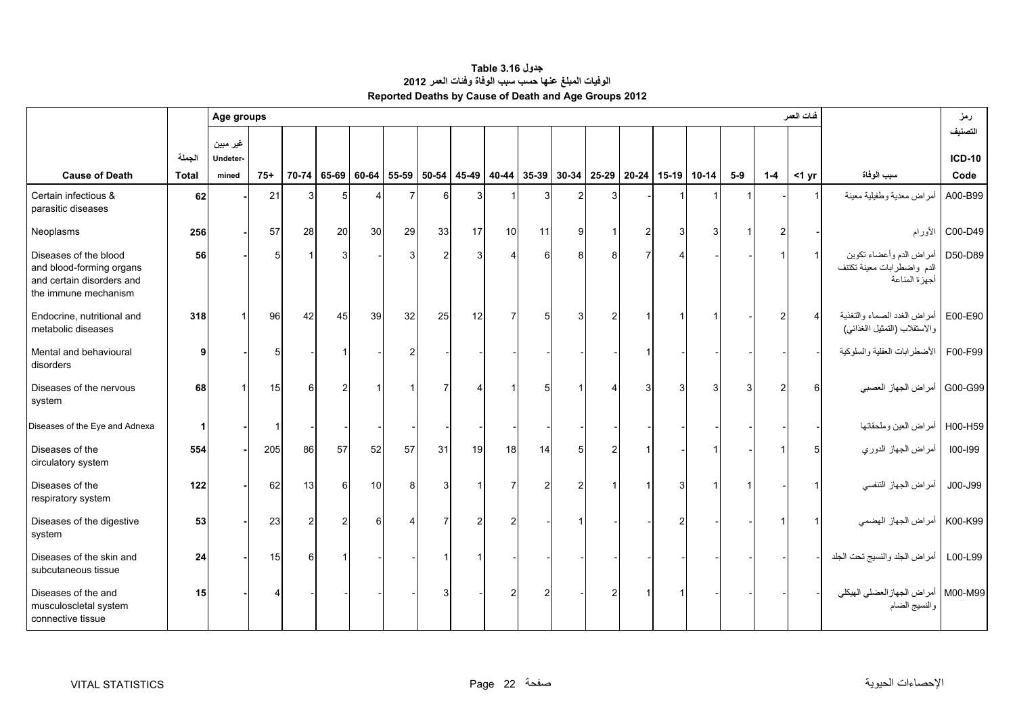<span id="page-21-0"></span>

|                                                                                                        |              | Age groups |       |                |                         |       |             |                |    |                               |                |                |                |   |                   |                |       |                | فنات العمر     |                                                                        | رمز           |
|--------------------------------------------------------------------------------------------------------|--------------|------------|-------|----------------|-------------------------|-------|-------------|----------------|----|-------------------------------|----------------|----------------|----------------|---|-------------------|----------------|-------|----------------|----------------|------------------------------------------------------------------------|---------------|
|                                                                                                        |              | غير مبين   |       |                |                         |       |             |                |    |                               |                |                |                |   |                   |                |       |                |                |                                                                        | التصنيف       |
|                                                                                                        | الجملة       | Undeter-   |       |                |                         |       |             |                |    |                               |                |                |                |   |                   |                |       |                |                |                                                                        | <b>ICD-10</b> |
| <b>Cause of Death</b>                                                                                  | <b>Total</b> | mined      | $75+$ | 70-74          | 65-69                   | 60-64 | 55-59 50-54 |                |    | 45-49 40-44 35-39 30-34 25-29 |                |                |                |   | 20-24 15-19 10-14 |                | $5-9$ | $1 - 4$        | $<$ 1 yr       | سبب الوفاة                                                             | Code          |
| Certain infectious &<br>parasitic diseases                                                             | 62           |            | 21    | 3              | 5                       |       | 7           | 6              |    |                               | 3              | 2              |                |   |                   |                |       |                |                | أمراض معدية وطفيلية معينة                                              | A00-B99       |
| Neoplasms                                                                                              | 256          |            | 57    | 28             | 20                      | 30    | 29          | 33             | 17 | 10                            | 11             | 9              |                | 2 | 3                 | 3              |       |                |                | الأورام                                                                | C00-D49       |
| Diseases of the blood<br>and blood-forming organs<br>and certain disorders and<br>the immune mechanism | 56           |            | 5     | $\overline{1}$ | $\mathbf{3}$            |       | 3           | $\mathcal{P}$  | ঽ  |                               | $6 \,$         |                | 8              |   |                   |                |       |                | $\overline{1}$ | أمراض الدم وأعضاء تكوين<br>الدم واضطرابات معينة تكتنف<br>أجهزة المناعة | D50-D89       |
| Endocrine, nutritional and<br>metabolic diseases                                                       | 318          |            | 96    | 42             | 45                      | 39    | 32          | 25             | 12 | 7                             | 5              | 3              | $\overline{2}$ |   |                   | -1             |       |                | $\overline{4}$ | أمراض الغدد الصماء والتغذية<br>والاستقلاب (التمثيل االغذائبي)          | E00-E90       |
| Mental and behavioural<br>disorders                                                                    | 9            |            | 5     |                | $\overline{\mathbf{1}}$ |       |             |                |    |                               |                |                |                |   |                   |                |       |                |                | الأضطرابات العقلية والسلوكية                                           | F00-F99       |
| Diseases of the nervous<br>system                                                                      | 68           |            | 15    | 6              | $\overline{2}$          |       |             | $\overline{7}$ |    |                               | 5 <sup>1</sup> |                |                | 3 |                   | 3              | 3     | $\overline{2}$ | 6              | G00-G99 أمراض الجهاز العصبي                                            |               |
| Diseases of the Eye and Adnexa                                                                         | -1           |            |       |                |                         |       |             |                |    |                               |                |                |                |   |                   |                |       |                |                | أمراض العين وملحقاتها                                                  | H00-H59       |
| Diseases of the<br>circulatory system                                                                  | 554          |            | 205   | 86             | 57                      | 52    | 57          | 31             | 19 | 18                            | 14             | 5              |                |   |                   | -1             |       |                | 5              | أمراض الجهاز الدوري                                                    | 100-199       |
| Diseases of the<br>respiratory system                                                                  | 122          |            | 62    | 13             | 6                       | 10    | 8           | 3              |    |                               | $\overline{a}$ | $\mathfrak{p}$ |                |   |                   | $\overline{1}$ |       |                | $\overline{1}$ | أمراض الجهاز التنفسي                                                   | J00-J99       |
| Diseases of the digestive<br>system                                                                    | 53           |            | 23    | $\overline{2}$ | $\overline{2}$          | 6     |             | 7              |    |                               |                |                |                |   |                   |                |       |                |                | أمراض الجهاز الهضمي                                                    | K00-K99       |
| Diseases of the skin and<br>subcutaneous tissue                                                        | 24           |            | 15    | 6              | $\overline{1}$          |       |             |                |    |                               |                |                |                |   |                   |                |       |                |                | أمراض الجلد والنسيج تحت الجلد                                          | L00-L99       |
| Diseases of the and<br>musculoscletal system<br>connective tissue                                      | 15           |            |       |                |                         |       |             |                |    | 2                             | $\overline{2}$ |                |                |   |                   |                |       |                |                | M00-M99   أمر اض الجهاز العضلي الهيكلي<br>والنسيج الضام                |               |

# **جدول 3.16 Table الوفيات المبلغ عنھا حسب سبب الوفاة وفئات العمر <sup>2012</sup> Reported Deaths by Cause of Death and Age Groups 2012**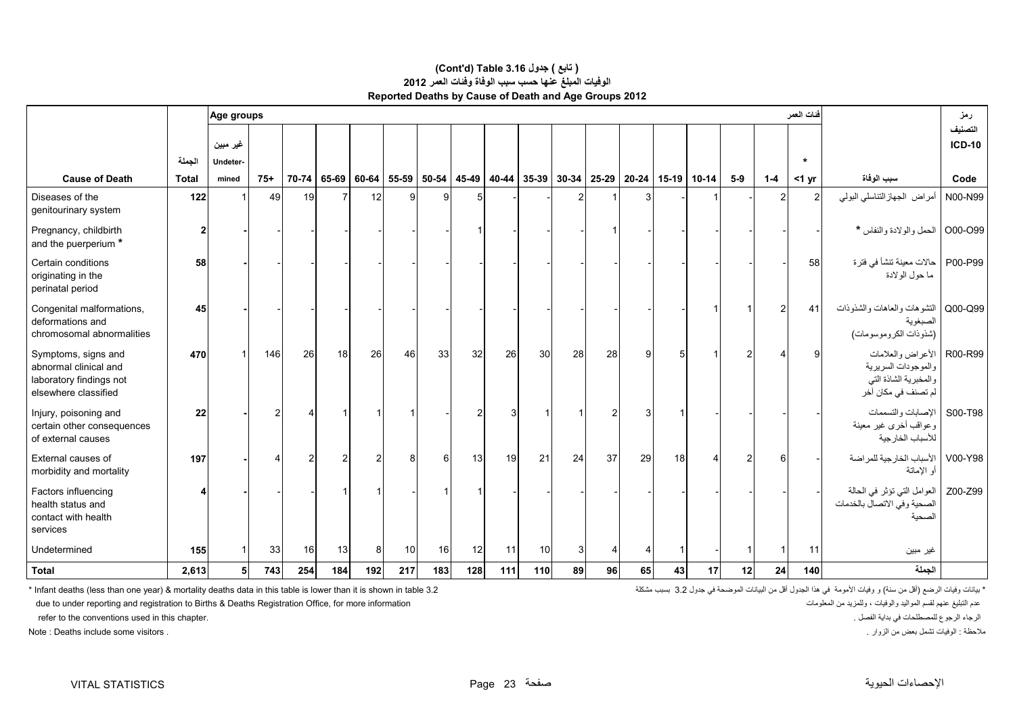#### **Reported Deaths by Cause of Death and Age Groups 2012 (Cont'd) Table 3.16 جدول ) تابع( الوفيات المبلغ عنھا حسب سبب الوفاة وفئات العمر <sup>2012</sup>**

|                                                                                                 |              | Age groups           |       |       |                |     |             |     |             |     |                               |    |    |    |    |             |       |                | فنات العمر     |                                                                                          | رمز                      |
|-------------------------------------------------------------------------------------------------|--------------|----------------------|-------|-------|----------------|-----|-------------|-----|-------------|-----|-------------------------------|----|----|----|----|-------------|-------|----------------|----------------|------------------------------------------------------------------------------------------|--------------------------|
|                                                                                                 | الجملة       | غير مبين<br>Undeter- |       |       |                |     |             |     |             |     |                               |    |    |    |    |             |       |                | $\star$        |                                                                                          | التصنيف<br><b>ICD-10</b> |
| <b>Cause of Death</b>                                                                           | <b>Total</b> | mined                | $75+$ | 70-74 | 65-69          |     | 60-64 55-59 |     | 50-54 45-49 |     | 40-44 35-39 30-34 25-29 20-24 |    |    |    |    | 15-19 10-14 | $5-9$ | $1 - 4$        | $<$ 1 yr       | سبب الوفاة                                                                               | Code                     |
| Diseases of the<br>genitourinary system                                                         | 122          | 1                    | 49    | 19    | $\overline{7}$ | 12  | g           | 9   |             |     |                               | 2  |    | 3  |    |             |       | $\overline{2}$ | $\overline{2}$ | أمراض الجهاز التناسلى البولى                                                             | N00-N99                  |
| Pregnancy, childbirth<br>and the puerperium *                                                   |              |                      |       |       |                |     |             |     |             |     |                               |    |    |    |    |             |       |                |                | O00-O99   الحمل والولادة والنفاس *                                                       |                          |
| Certain conditions<br>originating in the<br>perinatal period                                    | 58           |                      |       |       |                |     |             |     |             |     |                               |    |    |    |    |             |       |                | 58             | حالات معينة تتشأ في فترة<br>ما حول الولادة                                               | P00-P99                  |
| Congenital malformations,<br>deformations and<br>chromosomal abnormalities                      | 45           |                      |       |       |                |     |             |     |             |     |                               |    |    |    |    |             |       | 2              | 41             | النتسوهات والعاهات والشذوذات<br>الصبغوية<br>(شذوذات الكروموسومات)                        | Q00-Q99                  |
| Symptoms, signs and<br>abnormal clinical and<br>laboratory findings not<br>elsewhere classified | 470          |                      | 146   | 26    | 18             | 26  | 46          | 33  | 32          | 26  | 30                            | 28 | 28 | a  |    |             |       |                |                | الأعراض والعلامات<br>والموجودات السريرية<br>والمخبرية الشاذة التي<br>لم تصنف في مكان أخر | R00-R99                  |
| Injury, poisoning and<br>certain other consequences<br>of external causes                       | 22           |                      |       |       |                |     |             |     |             |     |                               |    | 2  |    |    |             |       |                |                | الإصابات والتسممات<br>وعواقب أخرى غير معينة<br>للأسباب الخارجية                          | S00-T98                  |
| External causes of<br>morbidity and mortality                                                   | 197          |                      |       |       | $\overline{2}$ |     |             | 6   | 13          | 19  | 21                            | 24 | 37 | 29 | 18 |             |       |                |                | الأسباب الخارجية للمراضة<br>أو الإماتة                                                   | V00-Y98                  |
| Factors influencing<br>health status and<br>contact with health<br>services                     |              |                      |       |       |                |     |             |     |             |     |                               |    |    |    |    |             |       |                |                | العوامل التي تؤثر في الحالة<br>الصحية وفي الاتصال بالخدمات<br>لصحنة                      | Z00-Z99                  |
| Undetermined                                                                                    | 155          |                      | 33    | 16    | 13             | 8   | 10          | 16  | 12          | 11  | 10                            | 3  | Δ  |    |    |             |       |                | 11             | غير مبين                                                                                 |                          |
| <b>Total</b>                                                                                    | 2,613        | 51                   | 743   | 254   | 184            | 192 | 217         | 183 | 128         | 111 | 110                           | 89 | 96 | 65 | 43 | 17          | 12    | 24             | 140            | الجملة                                                                                   |                          |

\* بيانات وفيات الرضع (أقل من سنة) و وفيات الأمومة في هذا الجدول أقل من البيانات الموضحة في جدول 3.2 بسبب مشكلة 3.2 بسبب مشكلة 3.2 table in shown in table is lower than it is shown in table 3.2 بسبب مشكلة " table in shown

due to under reporting and registration to Births & Deaths Registration Office, for more information المعلومات من وللمزيد ، والوفيات المواليد لقسم عنھم التبليغ عدم

refer to the conventions used in this chapter. . الفصل بداية في للمصطلحات الرجوع الرجاء

مالحظة : الوفيات تشمل بعض من الزوار . . visitors some include Deaths : Note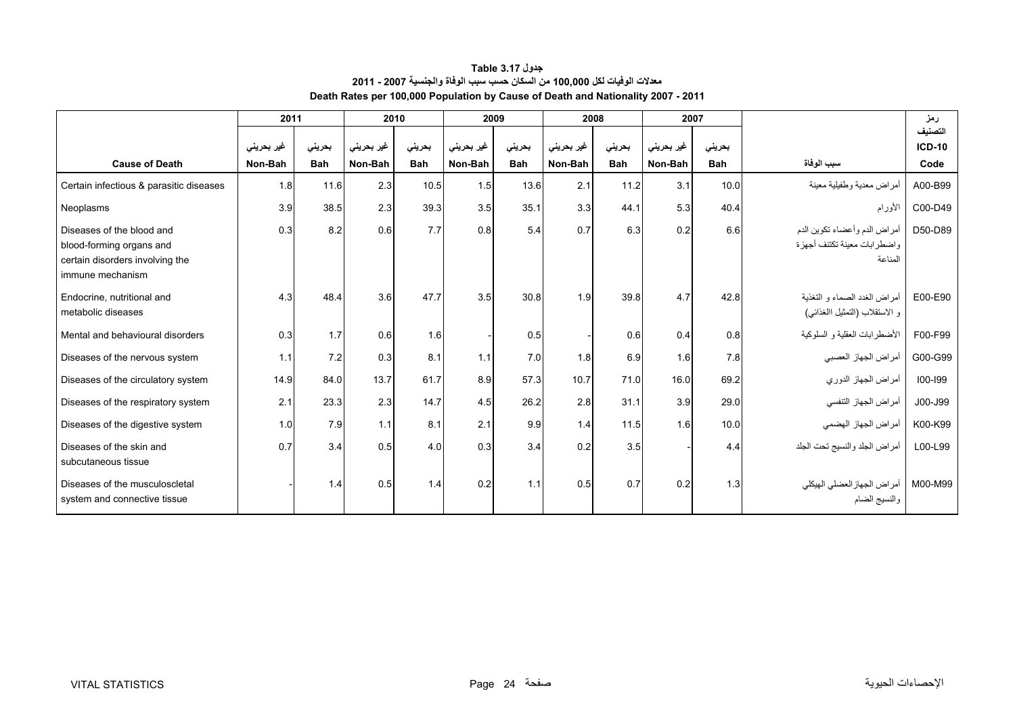<span id="page-23-0"></span>

|                                                                                                              | 2011       |            | 2010               |            |            | 2009       | 2008       |            | 2007       |            |                                                                        | رمز                      |
|--------------------------------------------------------------------------------------------------------------|------------|------------|--------------------|------------|------------|------------|------------|------------|------------|------------|------------------------------------------------------------------------|--------------------------|
|                                                                                                              | غیر بحرینی | بحرينى     | غیر بحرین <i>ی</i> | بحريني     | غیر بحرینی | بحريني     | غير بحريني | بحريني     | غير بحريني | بحرينى     |                                                                        | التصنيف<br><b>ICD-10</b> |
| <b>Cause of Death</b>                                                                                        | Non-Bah    | <b>Bah</b> | Non-Bah            | <b>Bah</b> | Non-Bah    | <b>Bah</b> | Non-Bah    | <b>Bah</b> | Non-Bah    | <b>Bah</b> | سبب الوفاة                                                             | Code                     |
| Certain infectious & parasitic diseases                                                                      | 1.8        | 11.6       | 2.3                | 10.5       | 1.5        | 13.6       | 2.1        | 11.2       | 3.1        | 10.0       | أمراض معدية وطفيلية معينة                                              | A00-B99                  |
| Neoplasms                                                                                                    | 3.9        | 38.5       | 2.3                | 39.3       | 3.5        | 35.1       | 3.3        | 44.1       | 5.3        | 40.4       | الأورام                                                                | C00-D49                  |
| Diseases of the blood and<br>blood-forming organs and<br>certain disorders involving the<br>immune mechanism | 0.3        | 8.2        | 0.6                | 7.7        | 0.8        | 5.4        | 0.7        | 6.3        | 0.2        | 6.6        | أمراض الدم وأعضاء تكوين الدم<br>واضطرابات معينة تكتنف أجهزة<br>المناعة | D50-D89                  |
| Endocrine, nutritional and<br>metabolic diseases                                                             | 4.3        | 48.4       | 3.6                | 47.7       | 3.5        | 30.8       | 1.9        | 39.8       | 4.7        | 42.8       | أمر اض الغدد الصماء و التغذية<br>و الاستقلاب (النمثيل االغذائبي)       | E00-E90                  |
| Mental and behavioural disorders                                                                             | 0.3        | 1.7        | 0.6                | 1.6        |            | 0.5        |            | 0.6        | 0.4        | 0.8        | الأضطرابات العقلية و السلوكية                                          | F00-F99                  |
| Diseases of the nervous system                                                                               | 1.1        | 7.2        | 0.3                | 8.1        | 1.1        | 7.0        | 1.8        | 6.9        | 1.6        | 7.8        | أمراض الجهاز العصبي                                                    | G00-G99                  |
| Diseases of the circulatory system                                                                           | 14.9       | 84.0       | 13.7               | 61.7       | 8.9        | 57.3       | 10.7       | 71.0       | 16.0       | 69.2       | أمراض الجهاز الدوري                                                    | $100 - 199$              |
| Diseases of the respiratory system                                                                           | 2.1        | 23.3       | 2.3                | 14.7       | 4.5        | 26.2       | 2.8        | 31.1       | 3.9        | 29.0       | أمراض الجهاز التنفسي                                                   | J00-J99                  |
| Diseases of the digestive system                                                                             | 1.0        | 7.9        | 1.1                | 8.1        | 2.1        | 9.9        | 1.4        | 11.5       | 1.6        | 10.0       | أمراض الجهاز الهضمي                                                    | K00-K99                  |
| Diseases of the skin and<br>subcutaneous tissue                                                              | 0.7        | 3.4        | 0.5                | 4.0        | 0.3        | 3.4        | 0.2        | 3.5        |            | 4.4        | أمراض الجلد والنسيج تحت الجلد                                          | L00-L99                  |
| Diseases of the musculoscletal<br>system and connective tissue                                               |            | 1.4        | 0.5                | 1.4        | 0.2        | 1.1        | 0.5        | 0.7        | 0.2        | 1.3        | أمراض الجهاز العضلي الهيكلي<br>والنسيج الضام                           | M00-M99                  |

# **جدول 3.17 Table معدالت الوفيات لكل 100,000 من السكان حسب سبب الوفاة والجنسية 2007 - 2011 Death Rates per 100,000 Population by Cause of Death and Nationality 2007 - 2011**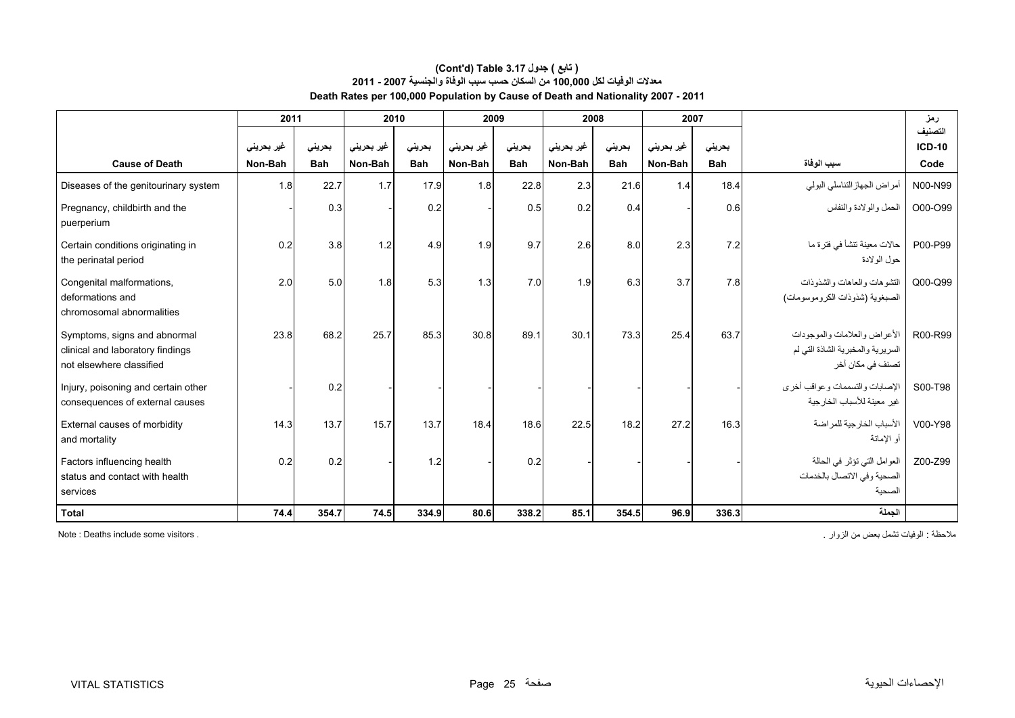#### **Death Rates per 100,000 Population by Cause of Death and Nationality 2007 - 2011 (Cont'd) Table 3.17 جدول ) تابع( معدالت الوفيات لكل 100,000 من السكان حسب سبب الوفاة والجنسية 2007 - 2011**

|                                                                                              | 2011               |            |            | 2010       |            | 2009       |            | 2008       | 2007       |            |                                                                                        | رمز           |
|----------------------------------------------------------------------------------------------|--------------------|------------|------------|------------|------------|------------|------------|------------|------------|------------|----------------------------------------------------------------------------------------|---------------|
|                                                                                              |                    |            |            |            |            |            |            |            |            |            |                                                                                        | التصنيف       |
|                                                                                              | غیر بحرین <i>ی</i> | بحريني     | غير بحريني | بحريني     | غير بحريني | بحريني     | غير بحريني | بحريني     | غير بحريني | بحرينى     |                                                                                        | <b>ICD-10</b> |
| <b>Cause of Death</b>                                                                        | Non-Bah            | <b>Bah</b> | Non-Bah    | <b>Bah</b> | Non-Bah    | <b>Bah</b> | Non-Bah    | <b>Bah</b> | Non-Bah    | <b>Bah</b> | سبب الوفاة                                                                             | Code          |
| Diseases of the genitourinary system                                                         | 1.8                | 22.7       | 1.7        | 17.9       | 1.8        | 22.8       | 2.3        | 21.6       | 1.4        | 18.4       | أمراض الجهاز التناسلي البولي                                                           | N00-N99       |
| Pregnancy, childbirth and the<br>puerperium                                                  |                    | 0.3        |            | 0.2        |            | 0.5        | 0.2        | 0.4        |            | 0.6        | الحمل والولادة والنفاس                                                                 | O00-O99       |
| Certain conditions originating in<br>the perinatal period                                    | 0.2                | 3.8        | 1.2        | 4.9        | 1.9        | 9.7        | 2.6        | 8.0        | 2.3        | 7.2        | حالات معينة تنشأ في فترة ما<br>حو ل الو لادة                                           | P00-P99       |
| Congenital malformations,<br>deformations and<br>chromosomal abnormalities                   | 2.0                | 5.0        | 1.8        | 5.3        | 1.3        | 7.0        | 1.9        | 6.3        | 3.7        | 7.8        | التشوهات والعاهات والشذوذات<br>الصبغوية (شذوذات الكروموسومات)                          | Q00-Q99       |
| Symptoms, signs and abnormal<br>clinical and laboratory findings<br>not elsewhere classified | 23.8               | 68.2       | 25.7       | 85.3       | 30.8       | 89.1       | 30.1       | 73.3       | 25.4       | 63.7       | الأعر اض والعلامات والموجودات<br>السريرية والمخبرية الشاذة التي لم<br>تصنف في مكان أخر | R00-R99       |
| Injury, poisoning and certain other<br>consequences of external causes                       |                    | 0.2        |            |            |            |            |            |            |            |            | الإصابات والتسممات وعواقب أخرى<br>غير معينة للأسباب الخارجية                           | S00-T98       |
| External causes of morbidity<br>and mortality                                                | 14.3               | 13.7       | 15.7       | 13.7       | 18.4       | 18.6       | 22.5       | 18.2       | 27.2       | 16.3       | الأسباب الخار جية للمر اضبة<br>أو الإماتة                                              | V00-Y98       |
| Factors influencing health<br>status and contact with health<br>services                     | 0.2                | 0.2        |            | 1.2        |            | 0.2        |            |            |            |            | العوامل التي تؤثر في الحالة<br>الصحية وفي الاتصال بالخدمات<br>الصحية                   | Z00-Z99       |
| Total                                                                                        | 74.4               | 354.7      | 74.5       | 334.9      | 80.6       | 338.2      | 85.1       | 354.5      | 96.9       | 336.3      | الجملة                                                                                 |               |

مالحظة : الوفيات تشمل بعض من الزوار . . visitors some include Deaths : Note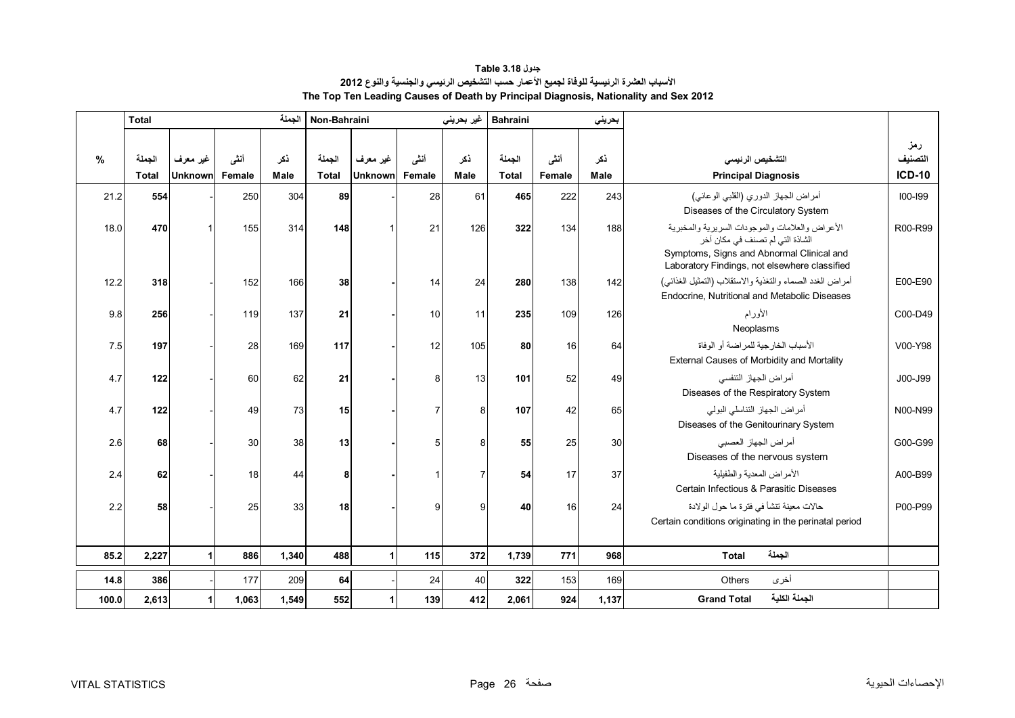<span id="page-25-0"></span>

|               | <b>Total</b> |                      |        | الجملة      | Non-Bahraini |                |        | غير بحريني  | <b>Bahraini</b> |        | بحريني      |                                                                                                                                                                                  |               |
|---------------|--------------|----------------------|--------|-------------|--------------|----------------|--------|-------------|-----------------|--------|-------------|----------------------------------------------------------------------------------------------------------------------------------------------------------------------------------|---------------|
|               |              |                      |        |             |              |                |        |             |                 |        |             |                                                                                                                                                                                  | رمز           |
| $\frac{9}{6}$ | الجملة       | غير معرف             | أنشى   | ذكر         | الجملة       | غير معرف       | أنشى   | ذكر         | الجملة          | أنشى   | ذكر         | التشخيص الرئيسى                                                                                                                                                                  | التصنيف       |
|               | <b>Total</b> | Unknownl             | Female | <b>Male</b> | <b>Total</b> | <b>Unknown</b> | Female | <b>Male</b> | <b>Total</b>    | Female | <b>Male</b> | <b>Principal Diagnosis</b>                                                                                                                                                       | <b>ICD-10</b> |
| 21.2          | 554          |                      | 250    | 304         | 89           |                | 28     | 61          | 465             | 222    | 243         | أمراض الجهاز الدوري (القلبي الوعائي)<br>Diseases of the Circulatory System                                                                                                       | $100 - 199$   |
| 18.0          | 470          | $\mathbf{1}$         | 155    | 314         | 148          |                | 21     | 126         | 322             | 134    | 188         | الأعراض والعلامات والموجودات السريرية والمخبرية<br>الشاذة التي لم تصنف في مكان آخر<br>Symptoms, Signs and Abnormal Clinical and<br>Laboratory Findings, not elsewhere classified | R00-R99       |
| 12.2          | 318          |                      | 152    | 166         | 38           |                | 14     | 24          | 280             | 138    | 142         | أمراض الغدد الصماء والتغذية والاستقلاب (التمثيل الغذائبي)<br>Endocrine, Nutritional and Metabolic Diseases                                                                       | E00-E90       |
| 9.8           | 256          |                      | 119    | 137         | 21           |                | 10     | 11          | 235             | 109    | 126         | الأور ام<br>Neoplasms                                                                                                                                                            | C00-D49       |
| 7.5           | 197          |                      | 28     | 169         | 117          |                | 12     | 105         | 80              | 16     | 64          | الأسباب الخارجية للمراضة أو الوفاة<br>External Causes of Morbidity and Mortality                                                                                                 | V00-Y98       |
| 4.7           | 122          |                      | 60     | 62          | 21           |                | 8      | 13          | 101             | 52     | 49          | أمر اض الجهاز التنفسي<br>Diseases of the Respiratory System                                                                                                                      | J00-J99       |
| 4.7           | 122          |                      | 49     | 73          | 15           |                |        | 8           | 107             | 42     | 65          | أمراض الجهاز التناسلي البولي<br>Diseases of the Genitourinary System                                                                                                             | N00-N99       |
| 2.6           | 68           |                      | 30     | 38          | 13           |                | 5      |             | 55              | 25     | 30          | أمراض الجهاز العصبي<br>Diseases of the nervous system                                                                                                                            | G00-G99       |
| 2.4           | 62           |                      | 18     | 44          | 8            |                |        |             | 54              | 17     | 37          | الأمراض المعدية والطفيلية<br>Certain Infectious & Parasitic Diseases                                                                                                             | A00-B99       |
| 2.2           | 58           |                      | 25     | 33          | 18           |                | 9      | g           | 40              | 16     | 24          | حالات معينة تنشأ في فترة ما حول الولادة<br>Certain conditions originating in the perinatal period                                                                                | P00-P99       |
| 85.2          | 2,227        | $\blacktriangleleft$ | 886    | 1,340       | 488          |                | 115    | 372         | 1,739           | 771    | 968         | الجملة<br><b>Total</b>                                                                                                                                                           |               |
| 14.8          | 386          |                      | 177    | 209         | 64           |                | 24     | 40          | 322             | 153    | 169         | أخرى<br>Others                                                                                                                                                                   |               |
| 100.0         | 2,613        | $\blacktriangleleft$ | 1.063  | 1,549       | 552          |                | 139    | 412         | 2,061           | 924    | 1,137       | الجملة الكلية<br><b>Grand Total</b>                                                                                                                                              |               |

**جدول 3.18 Table األسباب العشرة الرئيسية للوفاة لجميع األعمار حسب التشخيص الرئيسي والجنسية والنوع <sup>2012</sup> The Top Ten Leading Causes of Death by Principal Diagnosis, Nationality and Sex 2012**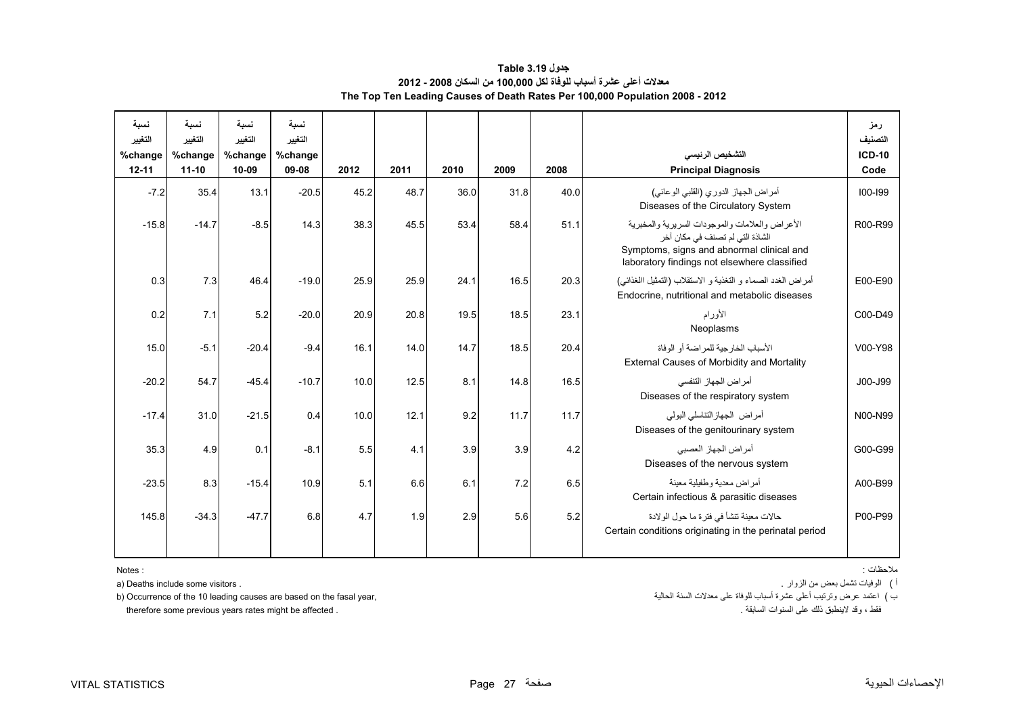| جدول Table 3.19                                                              |
|------------------------------------------------------------------------------|
| معدلات أعلى عشرة أسباب للوفاة لكل 100.000 من السكان 2008 - 2012              |
| The Top Ten Leading Causes of Death Rates Per 100,000 Population 2008 - 2012 |

<span id="page-26-0"></span>

| نسبة<br>التغيير<br>%change | نسىة<br>التغيير<br>%change | نسىة<br>التغيير<br>%change | نسىة<br>التغيير<br>%change |      |      |      |      |      | التشخيص الرئيسى                                                                                                                                                                    | رمز<br>التصنيف<br><b>ICD-10</b> |
|----------------------------|----------------------------|----------------------------|----------------------------|------|------|------|------|------|------------------------------------------------------------------------------------------------------------------------------------------------------------------------------------|---------------------------------|
| $12 - 11$                  | $11 - 10$                  | 10-09                      | 09-08                      | 2012 | 2011 | 2010 | 2009 | 2008 | <b>Principal Diagnosis</b>                                                                                                                                                         | Code                            |
| $-7.2$                     | 35.4                       | 13.1                       | $-20.5$                    | 45.2 | 48.7 | 36.0 | 31.8 | 40.0 | أمراض الجهاز الدوري (القلبي الوعائي)<br>Diseases of the Circulatory System                                                                                                         | 100-199                         |
| $-15.8$                    | $-14.7$                    | $-8.5$                     | 14.3                       | 38.3 | 45.5 | 53.4 | 58.4 | 51.1 | الأعر اض والعلامات والموجودات السرير ية والمخبر ية<br>الشاذة التي لم تصنف في مكان آخر<br>Symptoms, signs and abnormal clinical and<br>laboratory findings not elsewhere classified | R00-R99                         |
| 0.3                        | 7.3                        | 46.4                       | $-19.0$                    | 25.9 | 25.9 | 24.1 | 16.5 | 20.3 | أمراض الغدد الصماء و التغذية و الاستقلاب (التمثيل االغذائبي)<br>Endocrine, nutritional and metabolic diseases                                                                      | E00-E90                         |
| 0.2                        | 7.1                        | 5.2                        | $-20.0$                    | 20.9 | 20.8 | 19.5 | 18.5 | 23.1 | الأورام<br>Neoplasms                                                                                                                                                               | C00-D49                         |
| 15.0                       | $-5.1$                     | $-20.4$                    | $-9.4$                     | 16.1 | 14.0 | 14.7 | 18.5 | 20.4 | الأسباب الخار جبة للمر اضبة أو الوفاة<br>External Causes of Morbidity and Mortality                                                                                                | V00-Y98                         |
| $-20.2$                    | 54.7                       | $-45.4$                    | $-10.7$                    | 10.0 | 12.5 | 8.1  | 14.8 | 16.5 | أمر اض الجهاز التنفسي<br>Diseases of the respiratory system                                                                                                                        | J00-J99                         |
| $-17.4$                    | 31.0                       | $-21.5$                    | 0.4                        | 10.0 | 12.1 | 9.2  | 11.7 | 11.7 | أمر اض الجهاز التناسلي البولي<br>Diseases of the genitourinary system                                                                                                              | N00-N99                         |
| 35.3                       | 4.9                        | 0.1                        | $-8.1$                     | 5.5  | 4.1  | 3.9  | 3.9  | 4.2  | أمر اض الجهاز العصبي<br>Diseases of the nervous system                                                                                                                             | G00-G99                         |
| $-23.5$                    | 8.3                        | $-15.4$                    | 10.9                       | 5.1  | 6.6  | 6.1  | 7.2  | 6.5  | أمر اض معدبة وطفيلية معينة<br>Certain infectious & parasitic diseases                                                                                                              | A00-B99                         |
| 145.8                      | $-34.3$                    | $-47.7$                    | 6.8                        | 4.7  | 1.9  | 2.9  | 5.6  | 5.2  | حالات معينة تنشأ في فترة ما حول الولادة<br>Certain conditions originating in the perinatal period                                                                                  | P00-P99                         |

: Notes

<sup>أ</sup> ) الوفيات تشمل بعض من الزوار . . visitors some include Deaths) a

ب ) اعتمد عرض وترتيب أعلى عشرة أسباب للوفاة على معدلات السنة الحالية ,year rence of the 10 leading causes are based on the fasal year (

therefore some previous years rates might be affected . . السابقة السنوات على ذلك الينطبق وقد ، فقط

مالحظات :